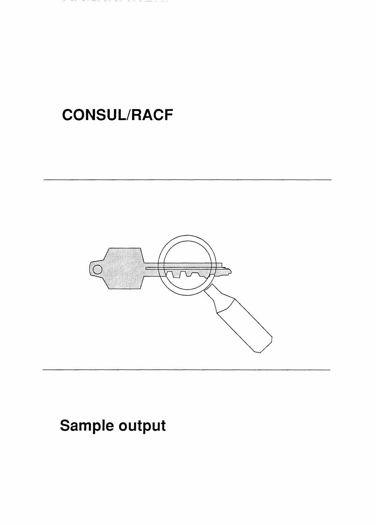# CONSUL/RACF

ファーティ ティーティ



# Sample output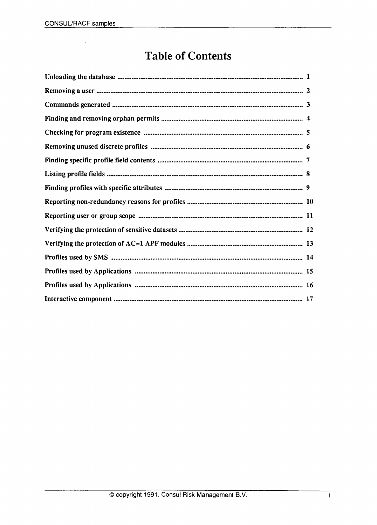### Table of Contents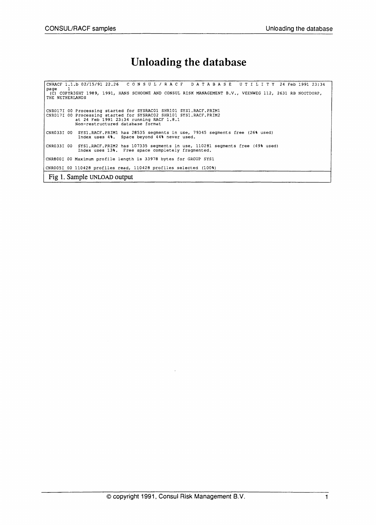#### Unloading the database

CNRACF 1.1.b 02/15/91 22.26 CON S U L / R A C FDA TAB A S E UTI LIT <sup>Y</sup> <sup>24</sup> Feb <sup>1991</sup> 23:34 page 1<br> (C) COPYRIGHT 1989, 1991, HANS SCHOONE AND CONSUL RISK MANAGEMENT B.V., VEENWEG 112, 2631 RB NOOTDORP,<br>THE NETHERLANDS CNR017I 00 Processing started for SYSRACOI SHRIOI SYSl.RACF.PRIMl CNR017I 00 Processing started for SYSRAC02 SHRI01 SYSl.RACF.PRIM2 at 24 Feb 1991 23:34 running RACF 1.8.1 Non-restructured database format CNR033I 00 SYS1.RACF.PRIM1 has 28535 segments in use, 79345 segments free (26% used) Index uses 4%. Space beyond 44% never used. CNR033I 00 SYSl.RACF.PRIM2 has 107335 segments in use, 110281 segments free (49% used) Index uses 13%. Free space completely fragmented. CNR800I 00 Maximum profile length is 33978 bytes for GROUP SYS1 CNR005I 00 110428 profiles read, 110428 profiles selected (100%) Fig 1. Sample UNLOAD output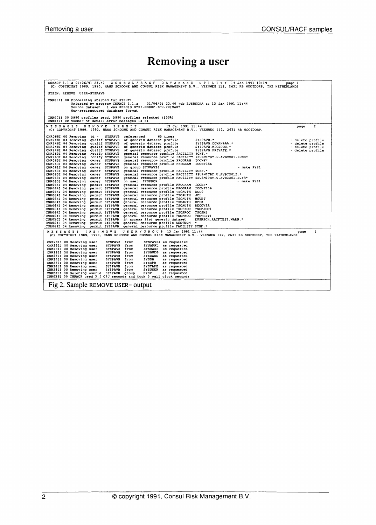# Removing a user

| CNRACF 1.1.a 01/06/91 23.40 CONSUL/RACF DATABASE UTILITY 14 Jan 1991 13:19<br>page l<br>(C) COPYRIGHT 1989, 1990, HANS SCHOONE AND CONSUL RISK MANAGEMENT B.V., VEENWEG 112, 2631 RB NOOTDORP, THE NETHERLANDS                                                                                                                                                                                                                                                                                                                                                                                                                                                                                                                                                                                                                                                                                                                                                                                                                                                                                                                                                                                                                                                                                                                                                                                                                                                                                                                                                                                                                                                                                                                                                                                                                                                                                                                                                                                                                                                                                                                                                                                                                                                                                                |
|---------------------------------------------------------------------------------------------------------------------------------------------------------------------------------------------------------------------------------------------------------------------------------------------------------------------------------------------------------------------------------------------------------------------------------------------------------------------------------------------------------------------------------------------------------------------------------------------------------------------------------------------------------------------------------------------------------------------------------------------------------------------------------------------------------------------------------------------------------------------------------------------------------------------------------------------------------------------------------------------------------------------------------------------------------------------------------------------------------------------------------------------------------------------------------------------------------------------------------------------------------------------------------------------------------------------------------------------------------------------------------------------------------------------------------------------------------------------------------------------------------------------------------------------------------------------------------------------------------------------------------------------------------------------------------------------------------------------------------------------------------------------------------------------------------------------------------------------------------------------------------------------------------------------------------------------------------------------------------------------------------------------------------------------------------------------------------------------------------------------------------------------------------------------------------------------------------------------------------------------------------------------------------------------------------------|
| SYSIN: REMOVE USER=SYSPAVB                                                                                                                                                                                                                                                                                                                                                                                                                                                                                                                                                                                                                                                                                                                                                                                                                                                                                                                                                                                                                                                                                                                                                                                                                                                                                                                                                                                                                                                                                                                                                                                                                                                                                                                                                                                                                                                                                                                                                                                                                                                                                                                                                                                                                                                                                    |
| CNR004I 00 Processing started for SYSUT1<br>Unloaded by program CNRACF 1.1.a 01/06/91 23.40 job EUSRSCHA at 13 Jan 1991 11:44<br>Source dataset l was SPRG19 SYS1.M9002.ICH.PRIMARY<br>Non-restructured database format                                                                                                                                                                                                                                                                                                                                                                                                                                                                                                                                                                                                                                                                                                                                                                                                                                                                                                                                                                                                                                                                                                                                                                                                                                                                                                                                                                                                                                                                                                                                                                                                                                                                                                                                                                                                                                                                                                                                                                                                                                                                                       |
| CNR0051 00 5990 profiles read, 5990 profiles selected (100%)<br>CNR087I 00 Number of detail error messages is 51                                                                                                                                                                                                                                                                                                                                                                                                                                                                                                                                                                                                                                                                                                                                                                                                                                                                                                                                                                                                                                                                                                                                                                                                                                                                                                                                                                                                                                                                                                                                                                                                                                                                                                                                                                                                                                                                                                                                                                                                                                                                                                                                                                                              |
| REMOVE PERMIT<br>13 Jan 1991 11:44<br>M E S S A G E S<br>$\mathbf{z}$<br>page<br>(C) COPYRIGHT 1989, 1990, HANS SCHOONE AND CONSUL RISK MANAGEMENT B.V., VEENWEG 112, 2631 RB NOOTDORP,                                                                                                                                                                                                                                                                                                                                                                                                                                                                                                                                                                                                                                                                                                                                                                                                                                                                                                                                                                                                                                                                                                                                                                                                                                                                                                                                                                                                                                                                                                                                                                                                                                                                                                                                                                                                                                                                                                                                                                                                                                                                                                                       |
| CNR068I 00 Removing id -<br><b>SYSPAVB</b><br>referenced<br>65 times<br>CNR248I 04 Removing<br>qualif SYSPAVB<br>of generic dataset profile<br>SYSPAVB. *<br>- delete profile<br>SYSPAVB.CCWANSSS.*<br>SYSPAVB.MICSDOC.*<br>SYSPAVB.PRIVATE.*<br>CNR248I 04 Removing<br>qualif SYSPAVB<br>of generic dataset profile<br>SYSPAVB.CCWAN& **<br>- delete profile<br>CNR248I 04 Removing qualif SYSPAVB<br>of generic dataset profile<br>- delete profile<br>of generic dataset profile<br>CNR248I 04 Removing<br>qualif SYSPAVB<br>- delete profile<br>general resource profile FACILITY SCNF.*<br>notify SYSPAVB<br>CNR263I 04 Removing<br>notify SYSPAVB general resource profile FACILITY SSUBMITBY.U.AVBCO01.EUSR*<br>CNR263I 04 Removing<br>general resource profile PROGRAM IOCNF*<br>owner SYSPAVB<br>CNR063I 04 Removing<br>owner SYSPAVB<br>general resource profile PROGRAM IOCNF156<br>CNR063I 04 Removing<br>CNR061I 04 Removing<br>owner SYSPAVB<br>on group SYSPAVB1<br>- make SYS1<br>general resource profile FACILITY SCNF."<br>CNR063I 04 Removing<br>owner SYSPAVB<br>general resource profile FACILITY \$SUBMITBY.U.AVBC0012.*<br>CNR063I 04 Removing<br>owner SYSPAVB<br>general resource profile FACILITY \$SUBMITBY.U.AVBCO01.EUSR*<br>CNR063I 04 Removing<br>owner SYSPAVB<br>owner SYSPAVB<br>on user SYSPROX<br>CNR060I 04 Removing<br>- make SYS1<br>permit SYSPAVB general resource profile PROGRAM IOCNF*<br>CNR064I 04 Removing<br>CNR064I 04 Removing<br>permit SYSPAVB general resource profile PROGRAM IOCNF156<br>CNR064I 04 Removing permit SYSPAVB general resource profile TSCAUTH ACCT<br>CNR064I 04 Removing<br>permit SYSPAVB general resource profile TSOAUTH<br>JCL<br>CNR0641 04 Removing permit SYSPAVB general resource profile TSOAUTH MOUNT<br>CNR064I 04 Removing permit SYSPAVB general resource profile TSOAUTH<br><b>OPER</b><br>CNR064I 04 Removing permit SYSPAVB general resource profile TSOAUTH RECOVER<br>CNR064I 04 Removing permit SYSPAVB general resource profile TSOPROC<br>TSOPROC1<br>CNR064I 04 Removing permit SYSPAVB general resource profile TSOPROC TSOSM1<br>CNR064I 04 Removing permit SYSPAVB general resource profile TSOPROC TSOTEST1<br>CNR050I 04 Removing permit SYSPAVB in access list generic dataset<br>EUSRSCH.RACFTEST.WARN.* |
| CNR064I 04 Removing permit SYSPAVB general resource profile ACCTNUM *<br>CNR064I 04 Removing permit SYSPAVB general resource profile FACILITY SCNF.*                                                                                                                                                                                                                                                                                                                                                                                                                                                                                                                                                                                                                                                                                                                                                                                                                                                                                                                                                                                                                                                                                                                                                                                                                                                                                                                                                                                                                                                                                                                                                                                                                                                                                                                                                                                                                                                                                                                                                                                                                                                                                                                                                          |
| MESSAGES (RE) MOVE USER/GROUP 13 Jan 1991 11:44<br>3<br>page<br>(C) COPYRIGHT 1989, 1990, HANS SCHOONE AND CONSUL RISK MANAGEMENT B.V., VEENWEG 112, 2631 RB NOOTDORP, THE NETHERLANDS                                                                                                                                                                                                                                                                                                                                                                                                                                                                                                                                                                                                                                                                                                                                                                                                                                                                                                                                                                                                                                                                                                                                                                                                                                                                                                                                                                                                                                                                                                                                                                                                                                                                                                                                                                                                                                                                                                                                                                                                                                                                                                                        |
| SYSPAVB from<br>CNR281I 00 Removing user<br>SYSPAVB1 as requested<br>SYSPAVB from<br>CNR281I 00 Removing user<br>SYSAPPL as requested<br>SYSBASE as requested<br>CNR281I 00 Removing user<br>SYSPAVB from<br>SYSPAVB from<br>SYSBUDG as requested<br>CNR281I 00 Removing user<br>CNR281I 00 Removing user<br>SYSPAVB from<br>SYSDASD as requested<br><b>SYSPAVB</b><br><b>SYSDB</b><br>CNR281I 00 Removing user<br>from<br>as requested<br><b>SYSPAVB</b><br>SYSOPR<br>as requested<br>CNR281I 00 Removing user<br>from<br>CNR281I 00 Removing user<br><b>SYSPAVB</b><br>SYSTAPE as requested<br>from<br>CNR281I 00 Removing user<br><b>SYSPAVB</b><br>SYSUSER as requested<br>from<br>CNR283I 00 Deleting userid SYSPAVB group<br>SYSP<br>as requested<br>CNR039I 00 CNRACF used 3.0 CPU seconds and took 5 wall clock seconds                                                                                                                                                                                                                                                                                                                                                                                                                                                                                                                                                                                                                                                                                                                                                                                                                                                                                                                                                                                                                                                                                                                                                                                                                                                                                                                                                                                                                                                                               |
| Fig 2. Sample REMOVE USER= output                                                                                                                                                                                                                                                                                                                                                                                                                                                                                                                                                                                                                                                                                                                                                                                                                                                                                                                                                                                                                                                                                                                                                                                                                                                                                                                                                                                                                                                                                                                                                                                                                                                                                                                                                                                                                                                                                                                                                                                                                                                                                                                                                                                                                                                                             |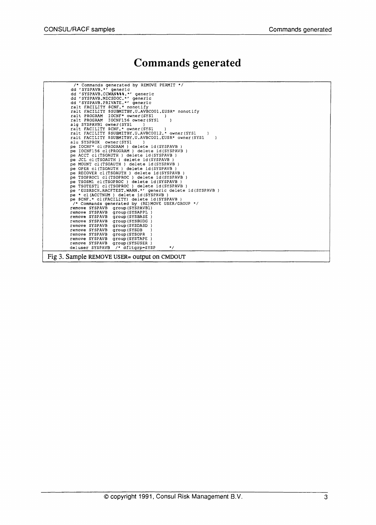### Commands generated

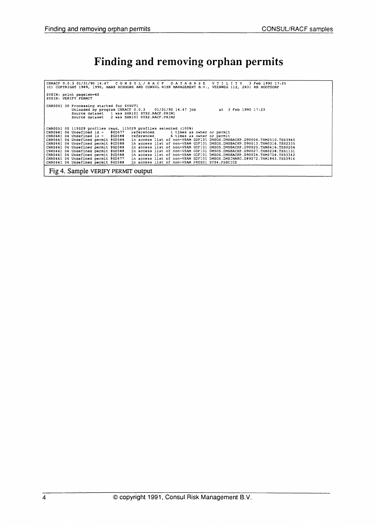### Finding and removing orphan permits

| CNRACF 0.0.3 01/31/90 14.47 CONSUL/RACF DATABASE UTILITY 3 Feb 1990 17:25<br>(C) COPYRIGHT 1989, 1990, HANS SCHOONE AND CONSUL RISK MANAGEMENT B.V., VEENWEG 112, 2631 RB NOOTDORP                                    |  |
|-----------------------------------------------------------------------------------------------------------------------------------------------------------------------------------------------------------------------|--|
| SYSIN: print pagelen-60<br>SYSIN: VERIFY PERMIT                                                                                                                                                                       |  |
| CNR004I 00 Processing started for SYSUTI<br>Unloaded by program CNRACF 0.0.3 01/31/90 14.47 job at 3 Feb 1990 17:23<br>Source dataset 1 was SHR101 SYS2. RACF. PRIM1<br>Source dataset 2 was SHR101 SYS2. RACF. PRIM2 |  |
| CNR005I 00 115029 profiles read, 115029 profiles selected (100%)                                                                                                                                                      |  |
| CNR0681 04 Undefined id - eGD477 referenced 1 times as owner or permit                                                                                                                                                |  |
| CNR068I 04 Undefined $id - 2G588$ referenced 6 times as owner or permit                                                                                                                                               |  |
| CNR046I 04 Undefined permit @GD588 in access list of non-VSAM GDF101 DMSOS.DMSBACKP.D90006.THM0510.TSS3945'                                                                                                           |  |
| CNR046I 04 Undefined permit @GD588 in access list of non-VSAM GDF101 DMSOS.DMSBACKP.D90013.THM0316.TSS2335                                                                                                            |  |
| CNR046I 04 Undefined permit @GD588<br>in access list of non-VSAM GDF101 DMSOS.DMSBACKP.D90020.THM0416.TSS0206                                                                                                         |  |
| CNR046I 04 Undefined permit @GD588<br>in access list of non-VSAM GDF101 DMSOS.DMSBACKP.D90027.THM0238.TSS1131                                                                                                         |  |
| CNR046I 04 Undefined permit @GD588<br>in access list of non-VSAM GDF101 DMSOS.DMSBACKP.D90034.THM0704.TSS3342                                                                                                         |  |
| CNR046I 04 Undefined permit @GD477<br>in access list of non-VSAM GDF101 DMSOS.DMSIMARC.D89272.THM1843.TSS3914                                                                                                         |  |
| CNR046I 04 Undefined permit @GD588<br>in access list of non-VSAM PRDS01 SYS4.PSBCICE                                                                                                                                  |  |
| Fig 4. Sample VERIFY PERMIT output                                                                                                                                                                                    |  |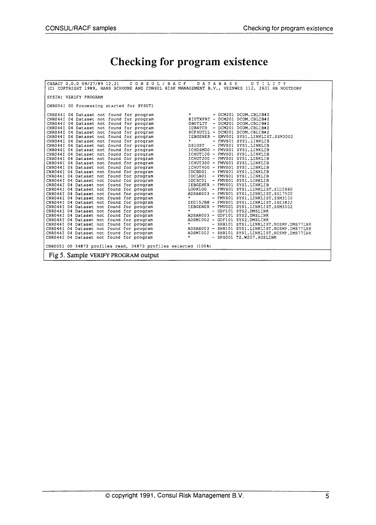# Checking for program existence

| CNRACF 0.0.0 09/27/89 12.21 CONSUL/RACF DATABASE UTILITY                                        |  |
|-------------------------------------------------------------------------------------------------|--|
| (C) COPYRIGHT 1989, HANS SCHOONE AND CONSUL RISK MANAGEMENT B.V., VEENWEG 112, 2631 RB NOOTDORP |  |
|                                                                                                 |  |
| SYSIN: VERIFY PROGRAM                                                                           |  |
|                                                                                                 |  |
| CNR004I 00 Processing started for SYSUT1                                                        |  |
|                                                                                                 |  |
|                                                                                                 |  |
|                                                                                                 |  |
|                                                                                                 |  |
|                                                                                                 |  |
|                                                                                                 |  |
|                                                                                                 |  |
|                                                                                                 |  |
|                                                                                                 |  |
|                                                                                                 |  |
|                                                                                                 |  |
|                                                                                                 |  |
|                                                                                                 |  |
|                                                                                                 |  |
|                                                                                                 |  |
|                                                                                                 |  |
|                                                                                                 |  |
|                                                                                                 |  |
|                                                                                                 |  |
|                                                                                                 |  |
|                                                                                                 |  |
|                                                                                                 |  |
|                                                                                                 |  |
|                                                                                                 |  |
|                                                                                                 |  |
|                                                                                                 |  |
|                                                                                                 |  |
|                                                                                                 |  |
|                                                                                                 |  |
|                                                                                                 |  |
|                                                                                                 |  |
| CNR005I 00 34873 profiles read, 34873 profiles selected (100%)                                  |  |
|                                                                                                 |  |
| Fig 5. Sample VERIFY PROGRAM output                                                             |  |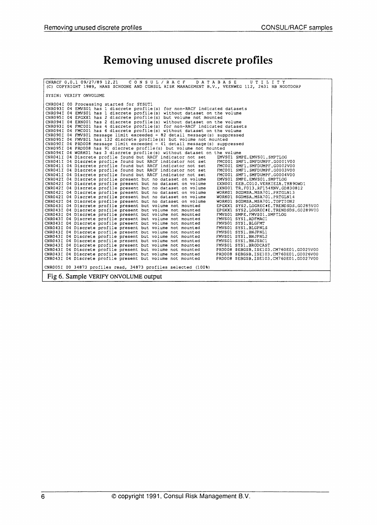# Removing unused discrete profiles

| CNRACF 0.0.1 09/27/89 12.21 CONSUL/RACF DATABASE<br>UTILITY<br>(C) COPYRIGHT 1989, HANS SCHOONE AND CONSUL RISK MANAGEMENT B.V., VEENWEG 112, 2631 RB NOOTDORP                                  |
|-------------------------------------------------------------------------------------------------------------------------------------------------------------------------------------------------|
| SYSIN: VERIFY ONVOLUME                                                                                                                                                                          |
| CNR004I 00 Processing started for SYSUT1                                                                                                                                                        |
| CNR093I 04 EMVS01 has 1 discrete profile (s) for non-RACF indicated datasets<br>CNR094I 04 EMVS01 has 1 discrete profile (s) without dataset on the volume                                      |
| CNR095I 04 EPGXX1 has 2 discrete profile (s) but volume not mounted                                                                                                                             |
| CNR094I 04 EXN001 has 2 discrete profile (s) without dataset on the volume                                                                                                                      |
| CNR093I 04 FMC001 has 4 discrete profile (s) for non-RACF indicated datasets                                                                                                                    |
| CNR094I 04 FMC001 has 6 discrete profile (s) without dataset on the volume                                                                                                                      |
| $CNR090I$ 04 FMVS01 message limit exceeded - 82 detail message(s) suppressed                                                                                                                    |
| CNR095I 04 FMVS01 has 132 discrete profile (s) but volume not mounted                                                                                                                           |
| CNR090I 04 PRD008 message limit exceeded - 41 detail message(s) suppressed<br>CNR095I 04 PRD008 has 91 discrete profile(s) but volume not mounted                                               |
| CNR094I 04 WORK01 has 3 discrete profile (s) without dataset on the volume                                                                                                                      |
| CNR041I 04 Discrete profile found but RACF indicator not set<br>EMVS01 SMPE.EMVS01.SMPTLOG                                                                                                      |
| CNR041I 04 Discrete profile found but RACF indicator not set<br>FMC001 SMF1 SMFDUMPF.G0001V00                                                                                                   |
| CNR041I 04 Discrete profile found but RACF indicator not set<br>FMC001 SMF1.SMFDUMPF.G0002V00                                                                                                   |
| CNR041I 04 Discrete profile found but RACF indicator not set<br>FMC001 SMF1.SMFDUMPF.G0003V00                                                                                                   |
| CNR041I 04 Discrete profile found but RACF indicator not set<br>FMC001 SMF1.SMFDUMPF.G0004V00                                                                                                   |
| CNR042I 04 Discrete profile present but no dataset on volume<br>EMVS01 SMPE.EMVS01.SMPTLOG<br>CNR042I 04 Discrete profile present but no dataset on volume<br>EXNOO1 EEB.CO10.VERKIEZA.TK89OWD1 |
| CNR042I 04 Discrete profile present but no dataset on volume<br>EXNO01 TR.F013.RF154KNV.GD830812                                                                                                |
| CNR042I 04 Discrete profile present but no dataset on volume<br>WORK01 \$GDMSA.MSA701.PRTGLN13                                                                                                  |
| CNR042I 04 Discrete profile present but no dataset on volume<br>WORK01 \$GDMSA.MSA701.PRTGLN14                                                                                                  |
| CNR042I 04 Discrete profile present but no dataset on volume<br>WORK01 SGDMSA.MSA701.TOPTION2                                                                                                   |
| CNR043I 04 Discrete profile present but volume not mounted<br>EPGXX1 SYS2.LOGREC#E.TRENDSDS.G0285V00                                                                                            |
| CNR043I 04 Discrete profile present but volume not mounted<br>EPGXX1 SYS2.LOGREC#E.TRENDSDS.G0289V00                                                                                            |
| CNR043I 04 Discrete profile present but volume not mounted<br>FMVS01 SMPE.FMVS01.SMPTLOG                                                                                                        |
| CNR043I 04 Discrete profile present but volume not mounted<br>FMVS01 SYS1.ADFMAC1                                                                                                               |
| CNR043I 04 Discrete profile present but volume not mounted<br>FMVS01 SYS1.BLGFMT<br>CNR043I 04 Discrete profile present but volume not mounted<br>FMVS01 SYS1.BLGPNLS                           |
| CNR043I 04 Discrete profile present but volume not mounted<br>FMVS01 SYS1.BNJPNL1                                                                                                               |
| CNR043I 04 Discrete profile present but volume not mounted<br>FMVS01 SYS1.BNJPNL2                                                                                                               |
| CNR043I 04 Discrete profile present but volume not mounted<br>FMVS01 SYS1.BNJSRC1                                                                                                               |
| CNR043I 04 Discrete profile present but volume not mounted<br>FMVS01 SYS1.BRODCAST                                                                                                              |
| CNR043I 04 Discrete profile present but volume not mounted<br>PRD008 \$EBGSB.ISE103.CM760E01.G0025V00                                                                                           |
| CNR043I 04 Discrete profile present but volume not mounted<br>PRD008 \$EBGSB.ISE103.CM760E01.G0026V00                                                                                           |
| CNR043I 04 Discrete profile present but volume not mounted<br>PRD008 \$EBGSB.ISE103.CM760E01.G0027V00                                                                                           |
| CNR005I 00 34873 profiles read, 34873 profiles selected (100%)                                                                                                                                  |
| Fig 6. Sample VERIFY ONVOLUME output                                                                                                                                                            |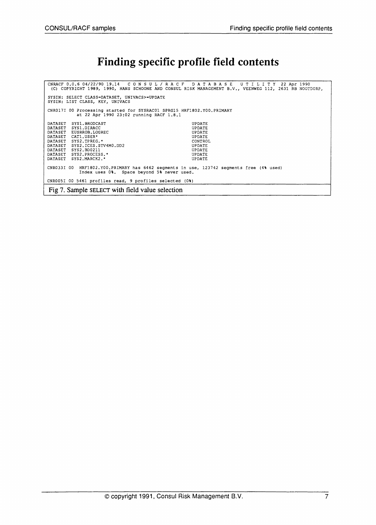#### Finding specific profile field contents

CNRACF 0.0.6 04/22/90 19.14 CON S U L / RAe FDA TAB A S E UTI LIT <sup>Y</sup> <sup>22</sup> Apr <sup>1990</sup> (C) COPYRIGHT 1989, 1990, HANS SCHOONE AND CONSUL RISK MANAGEMENT B.V., VEENWEG 112, 2631 RB NOOTDORP, SYSIN: SELECT CLASS~DATASET, UNIVACS>-UPDATE SYSIN: LIST CLASS, KEY, UNIVACS eNR01?I 00 Processing started for SYSRAC01 SPRG15 HRF1802.YOO.PRIMARY at <sup>22</sup> Apr 1990 23:02 running RACF 1.8~1 DATASET SYS1.BRODCAST DATASET SYS1.DIRACC DATASET EUSRROB.LOGREC DATASET CAT1.USER\*<br>DATASET SYS2.TPREG DATASET SYS2.TPREG.\* DATASET SYS2.ICES.STV4MO.DD2 DATASET SYS2.BD0211 DATASET SYS2.PROCESS.\* DATASET SYS2.ICES.STV<br>DATASET SYS2.DEOS.STV<br>DATASET SYS2.PROCESS.<br>DATASET SYS2.MARCK2.\* UPDATE UPDATE UPDATE UPDATE CONTROL UPDATE UPDATE UPDATE UPDATE CNR033I 00 HRF1802.YOO.PRIMARY has 6462 segments in use, 123742 segments free (4% used) Index uses 0\. Space beyond 5% never used. CNR0051 <sup>00</sup> 5461 profiles read, <sup>9</sup> profiles selected (O%) Fig 7. Sample SELECT with field value selection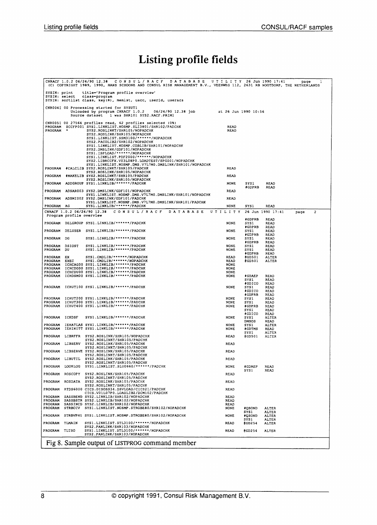# Listing profile fields

|                               |                          | CNRACF 1.0.2 06/24/90 12.38 CONSUL/RACF DATABASE<br>(C) COPYRIGHT 1989, 1990, HANS SCHOONE AND CONSUL RISK MANAGEMENT B.V., VEENWEG 112, 2631 RB NOOTDORP, THE NETHERLANDS                                                                                                                                                                                                        | UTILITY 26 Jun 1990 17:41  |                                  |                              | page | 1                       |  |
|-------------------------------|--------------------------|-----------------------------------------------------------------------------------------------------------------------------------------------------------------------------------------------------------------------------------------------------------------------------------------------------------------------------------------------------------------------------------|----------------------------|----------------------------------|------------------------------|------|-------------------------|--|
| SYSIN: print<br>SYSIN: select |                          | title-'Program profile overview'<br>class-program                                                                                                                                                                                                                                                                                                                                 |                            |                                  |                              |      |                         |  |
|                               |                          | SYSIN: sortlist class, key(8), memist, uacc, userid, useracs                                                                                                                                                                                                                                                                                                                      |                            |                                  |                              |      |                         |  |
|                               |                          | CNR004I 00 Processing started for SYSUT1<br>Unloaded by program CNRACF 1.0.2<br>$06/24/90$ 12.38 job<br>Source dataset<br>1 was SHR101 SYS2.RACF.PRIM1                                                                                                                                                                                                                            | at 26 Jun 1990 10:56       |                                  |                              |      |                         |  |
| PROGRAM                       |                          | CNR005I 00 27564 profiles read, 62 profiles selected (0%)<br>PROGRAM \$CCFP001 SYS1.LINKLIST.NOSMP.SLI3801/SHR102/PADCHK<br>SYS2.ROSLINKT/SHR105/NOPADCHK<br>SYS2.ROSLINK/SHR105/NOPADCHK<br>SYS1.LINKLIST.SSM3100/******/NOPADCHK<br>SYS2.PACOLIB2/SHR102/NOPADCHK<br>SYS1.LINKLIST.NOSMP.COBLIB/SHR101/NOPADCHK<br>SYS2.DMSLINK/GDF101/NOPADCHK<br>SYS1.ISPLOAD/******/NOPADCHK | READ<br>READ               |                                  |                              |      |                         |  |
| PROGRAM                       |                          | SYS1.LINKLIST.PDF2000/******/NOPADCHK<br>SYS2.LIBRCCFX.V03L08P0.LOADTEST/SPG001/NOPADCHK<br>SYS1.LINKLIST.NOSMP.DMS.V7L7M0.DMSLINK/SHR101/NOPADCHK<br>#CALCLIB SYS2.ROSLINKT/SHR105/PADCHK<br>SYS2.ROSLINK/SHR105/NOPADCHK                                                                                                                                                        | READ                       |                                  |                              |      |                         |  |
| PROGRAM                       |                          | #MAKELIB SYS2.ROSLINKT/SHR105/PADCHK<br>SYS2.ROSLINK/SHR105/NOPADCHK                                                                                                                                                                                                                                                                                                              | READ                       |                                  |                              |      |                         |  |
| PROGRAM                       |                          | ADDGROUP SYS1.LINKLIB/******/PADCHK                                                                                                                                                                                                                                                                                                                                               | <b>NONE</b>                | SYS1<br>#GDPRB                   | <b>READ</b><br>READ          |      |                         |  |
| PROGRAM                       |                          | ADSAR003 SYS2.DMSLINK/GDF101/NOPADCHK<br>SYS1.LINKLIST.NOSMP.DMS.V7L7M0.DMSLINK/SHR101/NOPADCHK                                                                                                                                                                                                                                                                                   | <b>READ</b>                |                                  |                              |      |                         |  |
| PROGRAM                       |                          | ADSMI002 SYS2.DMSLINK/GDF101/PADCHK<br>SYS1.LINKLIST.NOSMP.DMS.V7L7M0.DMSLINK/SHR101/PADCHK                                                                                                                                                                                                                                                                                       | <b>READ</b>                |                                  |                              |      |                         |  |
| PROGRAM                       | AG                       | SYS1.LINKLIB/******/PADCHK                                                                                                                                                                                                                                                                                                                                                        | NONE                       | SYSl                             | READ                         |      |                         |  |
|                               | Program profile overview | CNRACF 1.0.2 06/24/90 12.38<br>CONSUL/RACF DATABASE                                                                                                                                                                                                                                                                                                                               | UTILITY                    |                                  | 26 Jun 1990 17:41            | page | $\overline{\mathbf{c}}$ |  |
| PROGRAM                       |                          | DELGROUP SYS1.LINKLIB/******/PADCHK                                                                                                                                                                                                                                                                                                                                               | <b>NONE</b>                | #GDPRB<br>5YS1                   | READ<br>READ                 |      |                         |  |
| PROGRAM                       |                          | DELUSER SYS1.LINKLIB/******/PADCHK                                                                                                                                                                                                                                                                                                                                                | <b>NONE</b>                | #GDPRB<br>SYS1                   | READ<br>READ                 |      |                         |  |
| PROGRAM                       | DG                       | SYS1.LINKLIB/******/PADCHK                                                                                                                                                                                                                                                                                                                                                        | <b>NONE</b>                | #GDPRB<br>SYS1                   | READ                         |      |                         |  |
|                               |                          |                                                                                                                                                                                                                                                                                                                                                                                   |                            | #GDPRB                           | READ<br><b>READ</b>          |      |                         |  |
| PROGRAM DSIOST<br>PROGRAM     | DU                       | SYS1.LINKLIB/******/PADCHK<br>SYS1.LINKLIB/******/PADCHK                                                                                                                                                                                                                                                                                                                          | NONE<br><b>NONE</b>        | SYS1<br>SYS1                     | READ<br>READ                 |      |                         |  |
| PROGRAM EX                    |                          | SYS1.CMDLIB/******/NOPADCHK                                                                                                                                                                                                                                                                                                                                                       | READ                       | #GDPRB<br>eGD501                 | READ<br>ALTER                |      |                         |  |
| PROGRAM                       | EXEC                     | SYS1.CMDLIB/******/NOPADCHK<br>PROGRAM ICHCAG00 SYS1.LINKLIB/******/PADCHK                                                                                                                                                                                                                                                                                                        | READ<br><b>NONE</b>        | egp501                           | ALTER                        |      |                         |  |
| PROGRAM<br>PROGRAM            |                          | ICHCDG00 SYS1.LINKLIB/******/PADCHK<br>ICHCDU00 SYS1.LINKLIB/******/PADCHK                                                                                                                                                                                                                                                                                                        | <b>NONE</b><br><b>NONE</b> |                                  |                              |      |                         |  |
| PROGRAM                       |                          | ICHDSM00 SYS1.LINKLIB/******/PADCHK                                                                                                                                                                                                                                                                                                                                               | <b>NONE</b>                | #GDAEP                           | READ                         |      |                         |  |
| PROGRAM                       |                          | ICHUT100 SYS1.LINKLIB/******/PADCHK                                                                                                                                                                                                                                                                                                                                               | NONE                       | SYS1<br>#GDICO<br>SYS1<br>#GDICO | READ<br>READ<br>READ<br>READ |      |                         |  |
| <b>PROGRAM</b>                |                          | ICHUT200 SYS1.LINKLIB/******/PADCHK                                                                                                                                                                                                                                                                                                                                               | NONE                       | #GDPRB<br>SYS1                   | READ<br>READ                 |      |                         |  |
| PROGRAM<br>PROGRAM            |                          | ICHUT300 SYS1.LINKLIB/******/PADCHK<br>ICHUT400 SYS1.LINKLIB/******/PADCHK                                                                                                                                                                                                                                                                                                        | NONE<br>NONE               | SYS1<br>#GDPRB                   | READ<br>READ                 |      |                         |  |
| PROGRAM ICKDSF                |                          | SYS1.LINKLIB/******/PADCHK                                                                                                                                                                                                                                                                                                                                                        | NONE                       | SYS1<br>#GDICO<br>SYS1           | READ<br>READ<br>ALTER        |      |                         |  |
| <b>PROGRAM</b>                |                          | IEHATLAS SYS1.LINKLIB/******/PADCHK                                                                                                                                                                                                                                                                                                                                               | <b>NONE</b>                | DMSOS<br>SYS 1                   | READ<br>ALTER                |      |                         |  |
| PROGRAM                       |                          | IEHINITT SYS1.LINKLIB/******/PADCHK                                                                                                                                                                                                                                                                                                                                               | <b>NONE</b>                | ≱GDTMS<br>SYS1                   | READ<br><b>ALTER</b>         |      |                         |  |
| PROGRAM                       | LIBRFFR                  | SYS2.ROSLINK/SHR105/NOPADCHK<br>SYS2.ROSLINKT/SHR105/PADCHK                                                                                                                                                                                                                                                                                                                       | READ                       | <b>@GD501</b>                    | ALTER                        |      |                         |  |
| PROGRAM                       | LIBSERV                  | SYS2.ROSLINK/SHR105/PADCHK                                                                                                                                                                                                                                                                                                                                                        | READ                       |                                  |                              |      |                         |  |
| PROGRAM                       |                          | SYS2.ROSLINKT/SHR105/PADCHK<br>LIBSERVE SYS2.ROSLINK/SHR105/PADCHK                                                                                                                                                                                                                                                                                                                | READ                       |                                  |                              |      |                         |  |
| PROGRAM                       | LIBUTIL                  | SYS2.ROSLINKT/SHR105/PADCHK<br>SYS2.ROSLINK/SHR105/PADCHK                                                                                                                                                                                                                                                                                                                         | READ                       |                                  |                              |      |                         |  |
| PROGRAM                       | <b>LOOKLOG</b>           | SYS2.ROSLINKT/SHR105/PADCHK<br>SYS1.LINKLIST.SLU0660/******/PADCHK                                                                                                                                                                                                                                                                                                                | <b>NONE</b>                | <b>#GDAEP</b>                    | READ                         |      |                         |  |
| PROGRAM                       | <b>ROSCOPY</b>           | SYS2.ROSLINK/SHR105/PADCHK                                                                                                                                                                                                                                                                                                                                                        | READ                       | SYSl                             | READ                         |      |                         |  |
| PROGRAM                       | ROSDATA                  | SYS2.ROSLINKT/SHR105/PADCHK<br>SYS2.ROSLINK/SHR105/PADCHK                                                                                                                                                                                                                                                                                                                         | READ                       |                                  |                              |      |                         |  |
| PROGRAM                       |                          | SYS2.ROSLINKT/SHR105/PADCHK<br>RTDS6000 CICS.DISOSS34.DSVLOAD/CICS21/PADCHK                                                                                                                                                                                                                                                                                                       | READ                       |                                  |                              |      |                         |  |
| PROGRAM                       |                          | CICS.V01L07P0.LOADLIBZ/DCM102/PADCHK<br>SASSBEND SYS2.LINKLIB/SHR102/NOPADCHK                                                                                                                                                                                                                                                                                                     | READ                       |                                  |                              |      |                         |  |
| PROGRAM                       |                          | SASSBSTR SYS2.LINKLIB/SHR102/NOPADCHK                                                                                                                                                                                                                                                                                                                                             | READ                       |                                  |                              |      |                         |  |
| PROGRAM<br>PROGRAM            |                          | SASSINCD SYS2.LINKLIB/SHR102/NOPADCHK<br>STRBCCV SYS1.LINKLIST.NOSMP.STROBE80/SHR102/NOPADCHK                                                                                                                                                                                                                                                                                     | READ<br>NONE               | #QSOND                           | <b>ALTER</b>                 |      |                         |  |
| PROGRAM                       |                          | STRBVPH1 SYS1.LINKLIST.NOSMP.STROBE80/SHR102/NOPADCHK                                                                                                                                                                                                                                                                                                                             | <b>NONE</b>                | SYS1<br><b>#QSOND</b>            | ALTER<br>ALTER               |      |                         |  |
| PROGRAM                       | TLMAIN                   | SYS1.LINKLIST.STL3100/******/NOPADCHK                                                                                                                                                                                                                                                                                                                                             | <b>READ</b>                | SYS1<br><b>EGD254</b>            | ALTER<br>ALTER               |      |                         |  |
| PROGRAM                       | TLTSO                    | SYS2.PANLINK/SHR103/NOPADCHK<br>SYS1.LINKLIST.STL3100/******/NOPADCHK                                                                                                                                                                                                                                                                                                             | READ                       | <b>@GD254</b>                    | <b>ALTER</b>                 |      |                         |  |
|                               |                          | SYS2.PANLINK/SHR103/NOPADCHK                                                                                                                                                                                                                                                                                                                                                      |                            |                                  |                              |      |                         |  |
|                               |                          | Fig 8. Sample output of LISTPROG command member                                                                                                                                                                                                                                                                                                                                   |                            |                                  |                              |      |                         |  |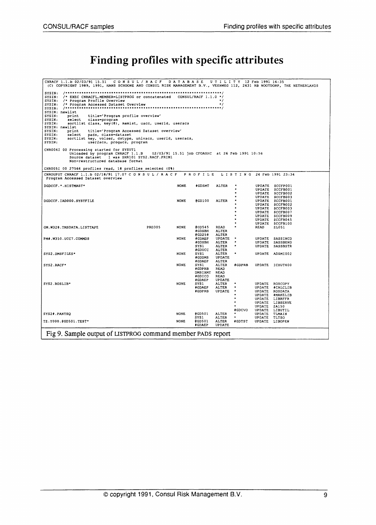### Finding profiles with specific attributes

| CNRACF 1.1.b 02/03/91 15.51 CONSUL/RACF DATABASE UTILITY 12 Feb 1991 16:35<br>(C) COPYRIGHT 1989, 1991, HANS SCHOONE AND CONSUL RISK MANAGEMENT B.V., VEENWEG 112, 2631 RB NOOTDORP, THE NETHERLANDS |               |             |                        |                                                                            |                                                                                                                                                        |              |                                      |  |
|------------------------------------------------------------------------------------------------------------------------------------------------------------------------------------------------------|---------------|-------------|------------------------|----------------------------------------------------------------------------|--------------------------------------------------------------------------------------------------------------------------------------------------------|--------------|--------------------------------------|--|
|                                                                                                                                                                                                      |               |             |                        |                                                                            |                                                                                                                                                        |              |                                      |  |
| SYSIN: /* EXEC CNRACFL, MEMBER-LISTPROG or concatenated CONSUL/RACF 1.1.0 */                                                                                                                         |               |             |                        |                                                                            |                                                                                                                                                        |              |                                      |  |
| SYSIN: /* Program Profile Overview                                                                                                                                                                   |               |             |                        | $\star$ /                                                                  |                                                                                                                                                        |              |                                      |  |
| SYSIN: /* Program Accessed Dataset Overview                                                                                                                                                          |               |             |                        | $^{\star}$ /                                                               |                                                                                                                                                        |              |                                      |  |
|                                                                                                                                                                                                      |               |             |                        |                                                                            |                                                                                                                                                        |              |                                      |  |
| SYSIN: newlist                                                                                                                                                                                       |               |             |                        |                                                                            |                                                                                                                                                        |              |                                      |  |
| SYSIN: print title='Program profile overview'                                                                                                                                                        |               |             |                        |                                                                            |                                                                                                                                                        |              |                                      |  |
| SYSIN:<br>select class-program                                                                                                                                                                       |               |             |                        |                                                                            |                                                                                                                                                        |              |                                      |  |
| SYSIN: sortlist class, key(8), memist, uacc, userid, useracs                                                                                                                                         |               |             |                        |                                                                            |                                                                                                                                                        |              |                                      |  |
| SYSIN: newlist                                                                                                                                                                                       |               |             |                        |                                                                            |                                                                                                                                                        |              |                                      |  |
| SYSIN: print title='Program Accessed Dataset overview'<br>SYSIN: select pads, class=dataset                                                                                                          |               |             |                        |                                                                            |                                                                                                                                                        |              |                                      |  |
| SYSIN: sortlist key, volser, dstype, univacs, userid, useracs,                                                                                                                                       |               |             |                        |                                                                            |                                                                                                                                                        |              |                                      |  |
| SYSIN:<br>user2acs, progacs, program                                                                                                                                                                 |               |             |                        |                                                                            |                                                                                                                                                        |              |                                      |  |
|                                                                                                                                                                                                      |               |             |                        |                                                                            |                                                                                                                                                        |              |                                      |  |
| CNR004I 00 Processing started for SYSUT1<br>Unloaded by program CNRACF 1.1.B 02/03/91 15.51 job CFOASHC at 26 Feb 1991 10:56                                                                         |               |             |                        |                                                                            |                                                                                                                                                        |              |                                      |  |
| Source dataset 1 was SHR101 SYS2. RACF. PRIM1                                                                                                                                                        |               |             |                        |                                                                            |                                                                                                                                                        |              |                                      |  |
| Non-restructured database format                                                                                                                                                                     |               |             |                        |                                                                            |                                                                                                                                                        |              |                                      |  |
| CNR005I 00 27564 profiles read, 18 profiles selected (0%)                                                                                                                                            |               |             |                        |                                                                            |                                                                                                                                                        |              |                                      |  |
|                                                                                                                                                                                                      |               |             |                        |                                                                            |                                                                                                                                                        |              |                                      |  |
| CNROUPUT CNRACF 1.1.b 02/18/91 17.07 C O N S U L / R A C F P R O F I L E L I S T I N G 24 Feb 1991 23:34<br>Program Accessed Dataset overview                                                        |               |             |                        |                                                                            |                                                                                                                                                        |              |                                      |  |
| DGDCCF. *. HISTMAST*                                                                                                                                                                                 |               | <b>NONE</b> | †GDSMT                 | ALTER                                                                      |                                                                                                                                                        |              | UPDATE SCCFP001                      |  |
|                                                                                                                                                                                                      |               |             |                        |                                                                            | $\frac{1}{\pi}$ .                                                                                                                                      |              | UPDATE \$CCFB001                     |  |
|                                                                                                                                                                                                      |               |             |                        |                                                                            | $\star$                                                                                                                                                |              | UPDATE \$CCFB002                     |  |
|                                                                                                                                                                                                      |               |             |                        |                                                                            |                                                                                                                                                        |              | UPDATE \$CCFB003                     |  |
| DGDCCF.IAD000.SYSTFILE                                                                                                                                                                               |               | <b>NONE</b> |                        | @GD100 ALTER                                                               | $\begin{array}{ccc}\n\mathbf{x} & \mathbf{y} & \mathbf{y} & \mathbf{y} \\ \mathbf{x} & \mathbf{y} & \mathbf{y} & \mathbf{y} & \mathbf{y}\n\end{array}$ |              | UPDATE \$CCFB001                     |  |
|                                                                                                                                                                                                      |               |             |                        |                                                                            |                                                                                                                                                        |              | UPDATE SCCFB002                      |  |
|                                                                                                                                                                                                      |               |             |                        |                                                                            |                                                                                                                                                        |              | UPDATE \$CCFB003                     |  |
|                                                                                                                                                                                                      |               |             |                        |                                                                            |                                                                                                                                                        |              | UPDATE \$CCFB007<br>UPDATE \$CCFB009 |  |
|                                                                                                                                                                                                      |               |             |                        |                                                                            | $\bullet$                                                                                                                                              |              | UPDATE \$CCFB045                     |  |
|                                                                                                                                                                                                      |               |             |                        |                                                                            | $\bullet$                                                                                                                                              |              | UPDATE \$CCFB100                     |  |
| GM.W328.TMSDATA.LISTTAPE                                                                                                                                                                             | <b>PRD305</b> | <b>NONE</b> | CGD545 READ            |                                                                            | $\mathcal{A} \subset \mathcal{A}$                                                                                                                      | READ         | ZL051                                |  |
|                                                                                                                                                                                                      |               |             |                        | #GDSBH ALTER                                                               |                                                                                                                                                        |              |                                      |  |
|                                                                                                                                                                                                      |               |             | <b>@GD258</b>          | ALTER                                                                      |                                                                                                                                                        |              |                                      |  |
| PM#.W350.UCC7.COMMDS                                                                                                                                                                                 |               | <b>NONE</b> | <b>∤</b> GDAEP         |                                                                            | UPDATE *<br>ALTER *<br>ALTER *                                                                                                                         |              | UPDATE SASSINCD                      |  |
|                                                                                                                                                                                                      |               |             | ∤GDSBH<br>SYS1         |                                                                            |                                                                                                                                                        |              | UPDATE SASSBEND<br>UPDATE SASSBSTR   |  |
|                                                                                                                                                                                                      |               |             | ∤GDUCC                 | <b>ALTER</b>                                                               |                                                                                                                                                        |              |                                      |  |
| SYS2.DMSFILES*                                                                                                                                                                                       |               | NONE        | SYS1                   | ALTER *                                                                    |                                                                                                                                                        |              | UPDATE ADSMI002                      |  |
|                                                                                                                                                                                                      |               |             | <b>‡GDDMS</b>          | UPDATE                                                                     |                                                                                                                                                        |              |                                      |  |
|                                                                                                                                                                                                      |               |             | ∦GDAEP                 | ALTER                                                                      |                                                                                                                                                        |              |                                      |  |
| SYS2.RACF*                                                                                                                                                                                           |               | <b>NONE</b> | SYSI                   |                                                                            |                                                                                                                                                        |              | ALTER #GDPRB UPDATE ICHUT400         |  |
|                                                                                                                                                                                                      |               |             | #GDPRB READ            |                                                                            |                                                                                                                                                        |              |                                      |  |
|                                                                                                                                                                                                      |               |             | DMSIXMT READ<br>#GDICO | READ                                                                       |                                                                                                                                                        |              |                                      |  |
|                                                                                                                                                                                                      |               |             |                        |                                                                            |                                                                                                                                                        |              |                                      |  |
| SYS2.ROSLIB*                                                                                                                                                                                         |               | <b>NONE</b> |                        | <b>*CDAEP UPDATE</b><br>SYS1 ALTER *<br><b>*GDAEP ALTER *</b><br>""PDATE * |                                                                                                                                                        |              | UPDATE ROSCOPY                       |  |
|                                                                                                                                                                                                      |               |             |                        |                                                                            |                                                                                                                                                        |              | UPDATE #CALCLIB                      |  |
|                                                                                                                                                                                                      |               |             |                        |                                                                            |                                                                                                                                                        |              | UPDATE ROSDATA                       |  |
|                                                                                                                                                                                                      |               |             |                        |                                                                            | $\mathbf{r}$                                                                                                                                           |              | UPDATE #MAKELIB                      |  |
|                                                                                                                                                                                                      |               |             |                        |                                                                            |                                                                                                                                                        |              | UPDATE LIBRFFR                       |  |
|                                                                                                                                                                                                      |               |             |                        |                                                                            |                                                                                                                                                        |              | UPDATE LIBSERVE                      |  |
|                                                                                                                                                                                                      |               |             |                        |                                                                            |                                                                                                                                                        | UPDATE ZA150 |                                      |  |
|                                                                                                                                                                                                      |               | <b>NONE</b> |                        |                                                                            | <b>‡GDCVO</b>                                                                                                                                          |              | UPDATE LIBUTIL                       |  |
| SYS2#.PANTSQ                                                                                                                                                                                         |               |             | SYS1                   | ALTER                                                                      | @GD501 ALTER *<br><b>CONTRACTOR</b>                                                                                                                    | UPDATE TLTSO | UPDATE TLMAIN                        |  |
| TZ.Y000.@GD501.TEST*                                                                                                                                                                                 |               | <b>NONE</b> | egpsoi                 | ALTER                                                                      | <b>∤</b> GDTST                                                                                                                                         |              | UPDATE LIBOPEN                       |  |
|                                                                                                                                                                                                      |               |             | <b>#GDAEP</b>          | UPDATE                                                                     |                                                                                                                                                        |              |                                      |  |
|                                                                                                                                                                                                      |               |             |                        |                                                                            |                                                                                                                                                        |              |                                      |  |
| Fig 9. Sample output of LISTPROG command member PADS report                                                                                                                                          |               |             |                        |                                                                            |                                                                                                                                                        |              |                                      |  |
|                                                                                                                                                                                                      |               |             |                        |                                                                            |                                                                                                                                                        |              |                                      |  |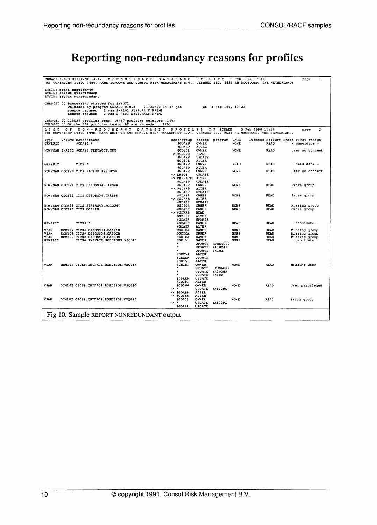# Reporting non-redundancy reasons for profiles

| CNRACF 0.0.3 01/31/90 14.47 CONSUL/RACF<br>(C) COPYRIGHT 1989, 1990, HANS SCHOONE AND CONSUL RISK MANAGEMENT B.V., VEENWEG 112, 2631 RB NOOTDORP, THE NETHERLANDS             | <b>DATABASE</b>                                       | UTILITY                                                          | 3 Feb 1990 17:31                                                                | 1<br>page                                           |
|-------------------------------------------------------------------------------------------------------------------------------------------------------------------------------|-------------------------------------------------------|------------------------------------------------------------------|---------------------------------------------------------------------------------|-----------------------------------------------------|
| SYSIN: print pagelen=60<br>SYSIN: select qual=#gdaep<br>SYSIN: report nonredundant                                                                                            |                                                       |                                                                  |                                                                                 |                                                     |
| CNR004I 00 Processing started for SYSUT1<br>Unloaded by program CNRACF 0.0.3<br>Source dataset 1 was SHR101 SYS2.RACF.PRIM1<br>2 was SHR101 SYS2.RACF.PRIM2<br>Source dataset | 01/31/90 14.47 job                                    | at 3 Feb 1990 17:23                                              |                                                                                 |                                                     |
| CNR005I 00 115029 profiles read, 16437 profiles selected (14%)<br>CNR900I 00 Of the 362 profiles tested 82 are redundant (22%)                                                |                                                       |                                                                  |                                                                                 |                                                     |
| NON - REDUNDANT<br>LIST OF<br>(C) COPYRIGHT 1989, 1990, HANS SCHOONE AND CONSUL RISK MANAGEMENT B.V., VEENWEG 112, 2631 RB NOOTDORP, THE NETHERLANDS                          | DATASET<br>P R O F I L E S                            | OF #GDAEP                                                        | 3 Feb 1990 17:23                                                                | $\overline{2}$<br>page                              |
| Volume Datasetname<br>Type<br>GENERIC<br>#GDAEP.*                                                                                                                             | User/group<br><b>#GDAEP</b>                           | access program<br>OWNER                                          | <b>UACC</b><br><b>NONE</b><br>READ                                              | Success Failure Erase First reason<br>- candidate - |
| NONVSAM SHR102 #GDAEP.TESTACCT.GDG                                                                                                                                            | #GDAEP<br>GGD501<br>$->$ @GD993                       | ALTER<br>OWNER<br>READ                                           | <b>NONE</b><br><b>READ</b>                                                      | User no connect                                     |
| CICS.*<br><b>GENERIC</b>                                                                                                                                                      | #GDAEP<br>@GD501<br><b>IGDAEP</b>                     | UPDATE<br>ALTER<br>OWNER                                         | <b>READ</b><br><b>READ</b>                                                      | - candidate -                                       |
| NONVSAM CICS20 CICS.BACKUP.SYSOUT#L                                                                                                                                           | <b>#GDAEP</b><br><b>SDAEP</b><br>-> DMSOS             | <b>ALTER</b><br>ONNER<br>UPDATE                                  | <b>READ</b><br><b>NONE</b>                                                      | User no connect                                     |
| NONVSAM CICS21 CICS.DISOSS34.JARS#A                                                                                                                                           | -> DMSBACK1 ALTER<br><b>#CDAEP</b><br><b>#GDAEP</b>   | UPDATE<br>OWNER                                                  | READ<br><b>NONE</b>                                                             | Extra group                                         |
| NONVSAM CICS21 CICS.DISOSS34.JARS#K                                                                                                                                           | -> #GDPRB<br>#GDAEP<br>#GDAEP                         | ALTER<br>UPDATE<br>OWNER                                         | <b>NONE</b><br>READ                                                             | Extra group                                         |
| NONVSAM CICS21 CICS.STAIRS43.ACCOUNT                                                                                                                                          | -> #GDPRB<br>#GDAEP<br><b>SGDICZ</b>                  | ALTER<br><b>UPDATE</b><br>OWNER                                  | <b>READ</b><br><b>NONE</b>                                                      | Missing group                                       |
| NONVSAM CICS20 CICS.UCSLIB                                                                                                                                                    | #GDAEP<br>$\rightarrow$ #GDPRB<br><b>@GD151</b>       | OWNER<br><b>READ</b><br>ALTER                                    | <b>NONE</b><br>READ                                                             | Extra group                                         |
| <b>GENERIC</b><br>$CICS$ .                                                                                                                                                    | <b>CDAEP</b><br><b>CDAEP</b><br><b>¢GDAEP</b>         | <b>UPDATE</b><br>OWNER<br><b>ALTER</b>                           | <b>READ</b><br><b>READ</b>                                                      | - candidate -                                       |
| VSAM<br>DCM102 CICS#.DISOSS34.CAAPIQ<br>VSAM<br>DCM102 CICS#.DISOSS34.CASOCB<br>VSAM<br>DCM102 CICS#.DISOSS34.CASRDS                                                          | <b>SGDICA</b><br><b>@GDICA</b><br><b>SGDICA</b>       | OWNER<br><b>OWNER</b><br><b>OWNER</b>                            | <b>NONE</b><br>READ<br><b>READ</b><br><b>NONE</b><br><b>NONE</b><br><b>READ</b> | Missing group<br>Missing group<br>Missing group     |
| <b>GENERIC</b><br>CICS#.INTFACE.ROSDISOS.VSQ0#*                                                                                                                               | <b>@GD151</b>                                         | OWNER<br>UPDATE<br><b>RTDS6000</b><br>ZA102#K<br>UPDATE          | <b>NONE</b><br><b>READ</b>                                                      | - candidate -                                       |
|                                                                                                                                                                               | <b>@GD254</b><br><b>#GDAEP</b>                        | <b>UPDATE</b><br>ZA102<br>ALTER<br>UPDATE                        |                                                                                 |                                                     |
| DCM102 CICS#.INTFACE.ROSDISOS.VSQ0#K<br>VSAM                                                                                                                                  | 8GD151<br>3GD151                                      | <b>ALTER</b><br><b>OWNER</b><br><b>UPDATE</b><br><b>RTDS6000</b> | <b>READ</b><br><b>NONE</b>                                                      | Missing user                                        |
|                                                                                                                                                                               |                                                       | ZA102#K<br>UPDATE<br>UPDATE<br>ZA102                             |                                                                                 |                                                     |
| <b>VSAM</b><br>DCM102 CICS#.INTFACE.ROSDISOS.VSQ0#O                                                                                                                           | #GDAEP<br>8GD151<br>0GD366                            | UPDATE<br><b>ALTER</b><br><b>OWNER</b>                           | <b>NONE</b><br><b>READ</b>                                                      | User privileged                                     |
|                                                                                                                                                                               | $-5$ *<br>-> #GDAEP<br>8GD366<br>$\rightarrow$        | UPDATE ZA102#O<br><b>ALTER</b><br><b>ALTER</b>                   |                                                                                 |                                                     |
| <b>VSAM</b><br>DCM102 CICS#.INTFACE.ROSDISOS.VSQ0#Z                                                                                                                           | @GD151<br>$\rightarrow$<br>$\bullet$<br><b>#GDAEP</b> | <b>OWNER</b><br>UPDATE<br>ZA102#Z<br><b>UPDATE</b>               | <b>READ</b><br><b>NONE</b>                                                      | Extra group                                         |
| Fig 10. Sample REPORT NONREDUNDANT output                                                                                                                                     |                                                       |                                                                  |                                                                                 |                                                     |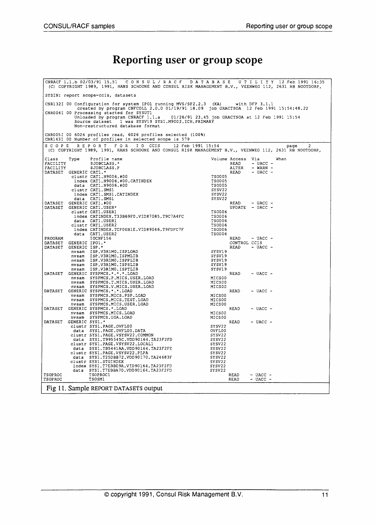#### **Reporting user or group scope**

|                                                                                           |                                                                                                                                  | CNRACF 1.1.b 02/03/91 15.51 CONSUL/RACF DATABASE UTILITY 12 Feb 1991 16:35<br>(C) COPYRIGHT 1989, 1991, HANS SCHOONE AND CONSUL RISK MANAGEMENT B.V., VEENWEG 112, 2631 RB NOOTDORP, |                                                  |                           |                     |                        |  |  |
|-------------------------------------------------------------------------------------------|----------------------------------------------------------------------------------------------------------------------------------|--------------------------------------------------------------------------------------------------------------------------------------------------------------------------------------|--------------------------------------------------|---------------------------|---------------------|------------------------|--|--|
|                                                                                           |                                                                                                                                  | SYSIN: report scope=ccis, datasets                                                                                                                                                   |                                                  |                           |                     |                        |  |  |
| $CNR132I$ 00 Configuration for system IPO1 running MVS/SP2.2.3 $(XA)$<br>with $DFP$ 3.1.1 |                                                                                                                                  |                                                                                                                                                                                      |                                                  |                           |                     |                        |  |  |
|                                                                                           | created by program CNFCOLL 2.0.0 01/19/91 18.09 job GRACTSOA 12 Feb 1991 15:54:48.22<br>CNR004I 00 Processing started for SYSUT1 |                                                                                                                                                                                      |                                                  |                           |                     |                        |  |  |
|                                                                                           |                                                                                                                                  | Unloaded by program CNRACF 1.1.a                                                                                                                                                     | 01/26/91 23.45 job GRACTSOA at 12 Feb 1991 15:54 |                           |                     |                        |  |  |
|                                                                                           |                                                                                                                                  | Source dataset 1 was SYSV19 SYS1.M9002.ICH.PRIMARY<br>Non-restructured database format                                                                                               |                                                  |                           |                     |                        |  |  |
|                                                                                           |                                                                                                                                  | CNR005I 00 6026 profiles read, 6026 profiles selected (100%)                                                                                                                         |                                                  |                           |                     |                        |  |  |
|                                                                                           |                                                                                                                                  | CNR143I 00 Number of profiles in selected scope is 579                                                                                                                               |                                                  |                           |                     |                        |  |  |
| S C O P E                                                                                 |                                                                                                                                  | REPORT FOR<br>ID CCIS<br>(C) COPYRIGHT 1989, 1991, HANS SCHOONE AND CONSUL RISK MANAGEMENT B.V., VEENWEG 112, 2631 RB NOOTDORP,                                                      | 12 Feb 1991 15:54                                |                           |                     | $\overline{c}$<br>page |  |  |
| Class<br>FACILITY                                                                         | Type                                                                                                                             | Profile name<br>\$JOBCLASS."                                                                                                                                                         |                                                  | Volume Access Via<br>READ | $-$ UACC $-$        | When                   |  |  |
| FACILITY                                                                                  |                                                                                                                                  | \$JOBCLASS.P                                                                                                                                                                         |                                                  | ALTER                     | $-$ WARN $-$        |                        |  |  |
|                                                                                           | DATASET GENERIC CAT1. *                                                                                                          |                                                                                                                                                                                      |                                                  | READ                      | $-$ UACC $-$        |                        |  |  |
|                                                                                           |                                                                                                                                  | clustr CAT1.N9006.#00<br>index CAT1.N9006.#00.CATINDEX                                                                                                                               | <b>TS0005</b><br><b>TS0005</b>                   |                           |                     |                        |  |  |
|                                                                                           |                                                                                                                                  | data CAT1.N9006.#00                                                                                                                                                                  | <b>TS0005</b>                                    |                           |                     |                        |  |  |
|                                                                                           |                                                                                                                                  | clustr CAT1.SMS1                                                                                                                                                                     | SYSV22                                           |                           |                     |                        |  |  |
|                                                                                           |                                                                                                                                  | index CAT1.SMS1.CATINDEX<br>data CAT1.SMS1                                                                                                                                           | SYSV22<br>SYSV22                                 |                           |                     |                        |  |  |
| DATASET                                                                                   |                                                                                                                                  | GENERIC CAT1.#00                                                                                                                                                                     |                                                  | READ                      | $-$ UACC $-$        |                        |  |  |
| DATASET                                                                                   |                                                                                                                                  | GENERIC CATI.USER*<br>clustr CAT1.USER1                                                                                                                                              | <b>TS0006</b>                                    |                           | UPDATE $-$ UACC $-$ |                        |  |  |
|                                                                                           |                                                                                                                                  | index CATINDEX.T33B69F0.VID87085.T9C7A4FC                                                                                                                                            | <b>TS0006</b>                                    |                           |                     |                        |  |  |
|                                                                                           |                                                                                                                                  | data CAT1.USER1                                                                                                                                                                      | <b>TS0006</b>                                    |                           |                     |                        |  |  |
|                                                                                           |                                                                                                                                  | clustr CAT1.USER2<br>index CATINDEX.TCFOEB1E.VID89046.T9FDFC7F                                                                                                                       | <b>TS0006</b><br><b>TS0006</b>                   |                           |                     |                        |  |  |
|                                                                                           |                                                                                                                                  | data CAT1.USER2                                                                                                                                                                      | TSO006                                           |                           |                     |                        |  |  |
| PROGRAM<br>DATASET                                                                        | GENERIC IPO1.*                                                                                                                   | IOCNF156                                                                                                                                                                             |                                                  | READ<br>CONTROL CCIS      | $-$ UACC $-$        |                        |  |  |
| DATASET                                                                                   | GENERIC ISP.*                                                                                                                    |                                                                                                                                                                                      |                                                  | READ                      | $-$ UACC $-$        |                        |  |  |
|                                                                                           |                                                                                                                                  | nvsam ISP.V3R1MO.ISPLOAD                                                                                                                                                             | SYSV19                                           |                           |                     |                        |  |  |
|                                                                                           |                                                                                                                                  | nvsam ISP.V3R1M0.ISPMLIB<br>nvsam ISP.V3R1M0.ISPPLIB                                                                                                                                 | SYSV19<br>SYSV19                                 |                           |                     |                        |  |  |
|                                                                                           |                                                                                                                                  | nvsam ISP.V3R1M0.ISPSLIB                                                                                                                                                             | SYSV19                                           |                           |                     |                        |  |  |
| DATASET                                                                                   |                                                                                                                                  | nvsam ISP.V3R1MO.ISPTLIB<br>GENERIC SYSPMCS.*.*.*.LOAD                                                                                                                               | SYSV19                                           | READ                      | $-$ UACC $-$        |                        |  |  |
|                                                                                           |                                                                                                                                  | nvsam SYSPMCS.P.MICS.USER.LOAD                                                                                                                                                       | MICS00                                           |                           |                     |                        |  |  |
|                                                                                           |                                                                                                                                  | nvsam SYSPMCS.T.MICS.USER.LOAD                                                                                                                                                       | MICS00                                           |                           |                     |                        |  |  |
|                                                                                           |                                                                                                                                  | nvsam SYSPMCS.V.MICS.USER.LOAD<br>DATASET GENERIC SYSPMCS. *. *. LOAD                                                                                                                | MICS00                                           | READ                      | $-$ UACC $-$        |                        |  |  |
|                                                                                           |                                                                                                                                  | nvsam SYSPMCS.MICS.PSP.LOAD                                                                                                                                                          | MICS00                                           |                           |                     |                        |  |  |
|                                                                                           |                                                                                                                                  | nvsam SYSPMCS.MICS.TEST.LOAD<br>nvsam SYSPMCS.MICS.USER.LOAD                                                                                                                         | MICS00<br>MICS00                                 |                           |                     |                        |  |  |
| DATASET                                                                                   |                                                                                                                                  | GENERIC SYSPMCS. *. LOAD                                                                                                                                                             |                                                  | READ                      | $-$ UACC $-$        |                        |  |  |
|                                                                                           |                                                                                                                                  | nvsam SYSPMCS.MICS.LOAD                                                                                                                                                              | MICS00                                           |                           |                     |                        |  |  |
| DATASET                                                                                   | GENERIC SYS1.*                                                                                                                   | nvsam SYSPMCS, UGA.LOAD                                                                                                                                                              | MICS00                                           | READ                      | $-$ UACC $-$        |                        |  |  |
|                                                                                           |                                                                                                                                  | clustr SYS1.PAGE.OVFL00                                                                                                                                                              | SYSV22                                           |                           |                     |                        |  |  |
|                                                                                           |                                                                                                                                  | data SYS1.PAGE.OVFL00.DATA<br>clustr SYS1.PAGE.VSYSV22.COMMON                                                                                                                        | OVFL00<br>SYSV22                                 |                           |                     |                        |  |  |
|                                                                                           |                                                                                                                                  | data SYS1.T995545C.VDD90164.TA23F2FD                                                                                                                                                 | SYSV22                                           |                           |                     |                        |  |  |
|                                                                                           |                                                                                                                                  | clustr SYS1.PAGE.VSYSV22.LOCAL1                                                                                                                                                      | SYSV22                                           |                           |                     |                        |  |  |
|                                                                                           |                                                                                                                                  | data SYS1, TB5441AA.VDD90164.TA23F2FE<br>clustr SYS1. PAGE.VSYSV22. PLPA                                                                                                             | SYSV <sub>22</sub><br>SYSV22                     |                           |                     |                        |  |  |
|                                                                                           |                                                                                                                                  | data SYS1.T25DBB72.VDD90170.TA24683F                                                                                                                                                 | SYSV22                                           |                           |                     |                        |  |  |
|                                                                                           |                                                                                                                                  | clustr SYS1.STGINDEX<br>index SYS1.T7EBBE9A.VID90164.TA23F2FD                                                                                                                        | SYSV22<br>SYSV22                                 |                           |                     |                        |  |  |
|                                                                                           |                                                                                                                                  | data SYS1.T7EBBA70.VDD90164.TA23F2FD                                                                                                                                                 | SYSV22                                           |                           |                     |                        |  |  |
| <b>TSOPROC</b>                                                                            |                                                                                                                                  | TSOPROC1                                                                                                                                                                             |                                                  | READ                      | $-$ UACC $-$        |                        |  |  |
| TSOPROC                                                                                   |                                                                                                                                  | TSOSM1                                                                                                                                                                               |                                                  | READ                      | $-$ UACC $-$        |                        |  |  |
|                                                                                           |                                                                                                                                  | Fig 11. Sample REPORT DATASETS output                                                                                                                                                |                                                  |                           |                     |                        |  |  |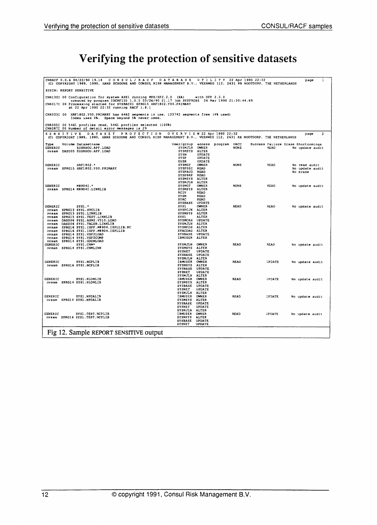### Verifying the protection of sensitive datasets

| CNRACF 0.0.6 04/22/90 19.14 CONSUL/RACF DATABASE<br>(C) COPYRIGHT 1989, 1990, HANS SCHOONE AND CONSUL RISK MANAGEMENT B.V., VEENWEG 112, 2631 RB NOOTDORP, THE NETHERLANDS                                |                                   |                               | U T I L I T Y 22 Apr 1990 22:32 |                                    | 1<br>page       |
|-----------------------------------------------------------------------------------------------------------------------------------------------------------------------------------------------------------|-----------------------------------|-------------------------------|---------------------------------|------------------------------------|-----------------|
| SYSIN: REPORT SENSITIVE                                                                                                                                                                                   |                                   |                               |                                 |                                    |                 |
| CNR132I 00 Configuration for system ASX1 running MVS/SP2.2.0 (XA)                                                                                                                                         |                                   | with $DFP$ 2.3.0              |                                 |                                    |                 |
| created by program IOCNF155 1.5.5 03/26/90 21.17 job SYSPROBZ 26 Mar 1990 21:30:44.69<br>CNR017I 00 Processing started for SYSRAC01 SPRG15 HRF1802.Y00.PRIMARY<br>at 22 Apr 1990 22:32 running RACF 1.8.1 |                                   |                               |                                 |                                    |                 |
| CNR033I 00 HRF1802.Y00.PRIMARY has 6462 segments in use, 123742 segments free (4% used)<br>Index uses 0%. Space beyond 5% never used.                                                                     |                                   |                               |                                 |                                    |                 |
| CNR005I 00 5461 profiles read, 5461 profiles selected (100%)<br>CNR087I 00 Number of detail error messages is 29                                                                                          |                                   |                               |                                 |                                    |                 |
| <b>PROTECTION</b><br><b>SENSITIVE</b><br><b>DATASET</b><br>(C) COPYRIGHT 1989, 1990, HANS SCHOONE AND CONSUL RISK MANAGEMENT B.V., VEENWEG 112, 2631 RB NOOTDORP, THE NETHERLANDS                         | O V E R V I E W 22 Apr 1990 22:32 |                               |                                 |                                    | 2<br>page       |
| Volume Datasetname<br>Type                                                                                                                                                                                |                                   |                               | User/group access program UACC  | Success Failure Erase Shortcomings |                 |
| GENERIC<br>EUSRHOU, APF. LOAD<br>nvsam DASD05 EUSRHOU.APF.LOAD                                                                                                                                            | SYSMJLN<br><b>SYSMSYS</b>         | OWNER<br>ALTER                | <b>NONE</b>                     | READ                               | No update audit |
|                                                                                                                                                                                                           | SYSM                              | UPDATE                        |                                 |                                    |                 |
|                                                                                                                                                                                                           | SYSP                              | UPDATE                        |                                 |                                    |                 |
| GENERIC<br>HRF1802.*                                                                                                                                                                                      | <b>EUSR</b><br><b>SYSMGT</b>      | UPDATE<br>OWNER               | <b>NONE</b>                     | READ                               | No read audit   |
| nvsam SPRG15 HRF1802.YOO.PRIMARY                                                                                                                                                                          | <b>SYSPSEC</b>                    | READ                          |                                 |                                    | No update audit |
|                                                                                                                                                                                                           | <b>SYSPAUD</b>                    | <b>READ</b>                   |                                 |                                    | No erase        |
|                                                                                                                                                                                                           | <b>SYSPBRP</b><br><b>SYSMSYS</b>  | READ<br><b>ALTER</b>          |                                 |                                    |                 |
|                                                                                                                                                                                                           | SYSMJLN                           | ALTER                         |                                 |                                    |                 |
| <b>GENERIC</b><br>M8904T.*                                                                                                                                                                                | <b>SYSMGT</b>                     | OWNER                         | <b>NONE</b>                     | READ                               | No update audit |
| nvsam SPRG14 M8904I.LINKLIB                                                                                                                                                                               | <b>SYSMSYS</b>                    | <b>ALTER</b>                  |                                 |                                    |                 |
|                                                                                                                                                                                                           | RCIV<br>SYSM                      | <b>READ</b><br>READ           |                                 |                                    |                 |
|                                                                                                                                                                                                           | <b>SYAC</b>                       | READ                          |                                 |                                    |                 |
|                                                                                                                                                                                                           | <b>SYSBASE</b>                    | UPDATE                        |                                 |                                    |                 |
| GENERIC<br>nvsam SPRG13 SYS1.SVCLIB                                                                                                                                                                       | SYSL<br><b>SYSPCJK</b>            | OWNER<br>ALTER                | <b>READ</b>                     | <b>READ</b>                        | No update audit |
| SPRG13 SYS1.LINKLIB<br>nvsam                                                                                                                                                                              | <b>SYSMSYS</b>                    | ALTER                         |                                 |                                    |                 |
| SPRG15 SYS1. TEST. LINKLIB<br>nvsam                                                                                                                                                                       | SYS1                              | <b>ALTER</b>                  |                                 |                                    |                 |
| DASD06 SYS1.ASM2.V310.LOAD<br>nvsam                                                                                                                                                                       | <b>SYSMCAH</b>                    | <b>UPDATE</b>                 |                                 |                                    |                 |
| nvsam DASD06 SYS1. TALEN.LINKLIB<br>nvsam SPRG16 SYS1.ISPF.M8904.ISPLLIB.RC                                                                                                                               | SYSMJLN<br>SYSMFDH                | ALTER<br><b>ALTER</b>         |                                 |                                    |                 |
| nvsam – SPRG16 SYS1.ISPF.M8904.ISPLLIB                                                                                                                                                                    | <b>SYACDAG</b>                    | ALTER                         |                                 |                                    |                 |
| SPRG14 SYS1.VSF2LOAD<br>nvsam                                                                                                                                                                             | <b>SYSBASE</b>                    | UPDATE                        |                                 |                                    |                 |
| nvsam SPRG14 SYS1.VSF2COMP<br>nvsam SPRG14 SYS1.GDDMLOAD                                                                                                                                                  | <b>IBMUSER</b>                    | ALTER                         |                                 |                                    |                 |
| GENERIC<br>SYS1.CNM*                                                                                                                                                                                      | SYSMJLN                           | OWNER                         | READ                            | <b>READ</b>                        | No update audit |
| nvsam SPRG14 SYS1.CNMLINK                                                                                                                                                                                 | <b>SYSMSYS</b>                    | <b>ALTER</b>                  |                                 |                                    |                 |
|                                                                                                                                                                                                           | SYSNET<br><b>SYSBASE</b>          | UPDATE<br>UPDATE              |                                 |                                    |                 |
|                                                                                                                                                                                                           | SYSMJLN                           | <b>ALTER</b>                  |                                 |                                    |                 |
| GENERIC<br>SYS1.NCPLIB                                                                                                                                                                                    | <b>IBMUSER</b>                    | <b>OWNER</b>                  | <b>READ</b>                     | <b><i>SPDATE</i></b>               | No update audit |
| nvsam SPRG16 SYS1.NCPLIB                                                                                                                                                                                  | <b>SYSMSYS</b><br><b>SYSBASE</b>  | <b>ALTER</b><br>UPDATE        |                                 |                                    |                 |
|                                                                                                                                                                                                           | <b>SYSNET</b>                     | <b>UPDATE</b>                 |                                 |                                    |                 |
|                                                                                                                                                                                                           | <b>SYSMJLN</b>                    | <b>ALTER</b>                  |                                 |                                    |                 |
| <b>GENERIC</b><br>SYS1.NLDMLIB                                                                                                                                                                            | IBMUSER                           | OWNER                         | <b>READ</b>                     | UPDATE                             | No update audit |
| nvsam SPRG14 SYS1.NLDMLIB                                                                                                                                                                                 | SYSMSYS<br>SYSBASE                | <b>ALTER</b><br><b>UPDATE</b> |                                 |                                    |                 |
|                                                                                                                                                                                                           | SYSNET                            | UPDATE                        |                                 |                                    |                 |
|                                                                                                                                                                                                           | SYSMJLN                           | <b>ALTER</b>                  |                                 |                                    |                 |
| <b>GENERIC</b><br>SYS1.NPDALIB<br>nysam SPRG14 SYS1.NPDALIB                                                                                                                                               | IBMUSER<br><b>SYSMSYS</b>         | <b>OWNER</b><br><b>ALTER</b>  | <b>READ</b>                     | <b><i>CPDATE</i></b>               | No update audit |
|                                                                                                                                                                                                           | <b>SYSBASE</b>                    | UPDATE                        |                                 |                                    |                 |
|                                                                                                                                                                                                           | SYSNET                            | <b>UPDATE</b>                 |                                 |                                    |                 |
|                                                                                                                                                                                                           | SYSMJLN                           | ALTER                         |                                 |                                    |                 |
| <b>GENERIC</b><br>SYS1. TEST. NCPLIB<br>nvsam SPRG16 SYS1.TEST.NCPLIB                                                                                                                                     | <b>IBMUSER</b><br><b>SYSMSYS</b>  | <b>OWNER</b><br>ALTER         | <b>READ</b>                     | UPDATE                             | No update audit |
|                                                                                                                                                                                                           | <b>SYSBASE</b>                    | UPDATE                        |                                 |                                    |                 |
|                                                                                                                                                                                                           | SYSNET                            | UPDATE                        |                                 |                                    |                 |
| Fig 12. Sample REPORT SENSITIVE output                                                                                                                                                                    |                                   |                               |                                 |                                    |                 |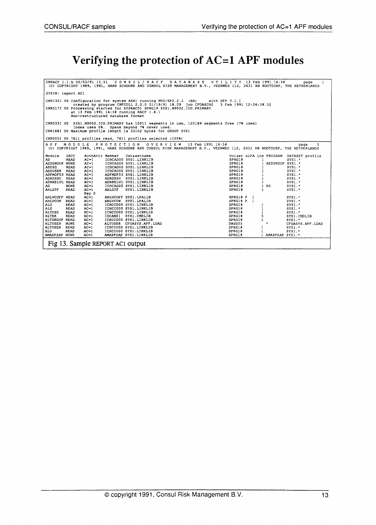### Verifying the protection of AC=l APF modules

|                   |                                  |                                  |                                                                          | CNRACF 1.1.b 02/03/91 15.51 CONSUL/RACF DATABASE UTILITY 13 Feb 1991 16:58<br>(C) COPYRIGHT 1989, 1991, HANS SCHOONE AND CONSUL RISK MANAGEMENT B.V., VEENWEG 112, 2631 RB NOOTDORP, THE NETHERLANDS |              |                   | -1<br>page                              |
|-------------------|----------------------------------|----------------------------------|--------------------------------------------------------------------------|------------------------------------------------------------------------------------------------------------------------------------------------------------------------------------------------------|--------------|-------------------|-----------------------------------------|
| SYSIN: report AC1 |                                  |                                  |                                                                          |                                                                                                                                                                                                      |              |                   |                                         |
|                   |                                  |                                  | CNR132I 00 Configuration for system ASX1 running MVS/SP2.2.3 (XA)        | with DFP $3.1.1$                                                                                                                                                                                     |              |                   |                                         |
|                   |                                  |                                  | CNR017I 00 Processing started for SYSRAC01 SPRG19 SYS1.M9002.ICH.PRIMARY | created by program CNFCOLL 2.0.0 01/19/91 18.09 job CFOASCHZ 3 Feb 1991 12:06:38.32                                                                                                                  |              |                   |                                         |
|                   |                                  |                                  | at 13 Feb 1991 16:58 running RACF 1.8.1                                  |                                                                                                                                                                                                      |              |                   |                                         |
|                   |                                  | Non-restructured database format |                                                                          |                                                                                                                                                                                                      |              |                   |                                         |
|                   |                                  |                                  |                                                                          |                                                                                                                                                                                                      |              |                   |                                         |
|                   |                                  |                                  | Index uses 0%. Space beyond 7% never used.                               | CNR033I 00 SYS1.M9002.ICH.PRIMARY has 10011 segments in use, 120189 segments free (7% used)                                                                                                          |              |                   |                                         |
|                   |                                  |                                  | CNR168I 00 Maximum profile length is 33102 bytes for GROUP SYS1          |                                                                                                                                                                                                      |              |                   |                                         |
|                   |                                  |                                  |                                                                          |                                                                                                                                                                                                      |              |                   |                                         |
|                   |                                  |                                  | CNR005I 00 7611 profiles read, 7611 profiles selected (100%)             |                                                                                                                                                                                                      |              |                   |                                         |
| APF               | MODULE                           |                                  | PROTECTION OVERVIEW                                                      | 13 Feb 1991 16:58                                                                                                                                                                                    |              |                   | 3<br>page                               |
|                   |                                  |                                  |                                                                          | (C) COPYRIGHT 1989, 1991, HANS SCHOONE AND CONSUL RISK MANAGEMENT B.V., VEENWEG 112, 2631 RB NOOTDORP, THE NETHERLANDS                                                                               |              |                   |                                         |
| Module            | <b>UACC</b>                      |                                  |                                                                          |                                                                                                                                                                                                      |              |                   | Volser xLPA Lnk PRCGRAM DATASET profile |
| AD                | READ<br>$AC=1$                   | AuthAttr Member                  | Datasetname<br>ICHCAD00 SYS1.LINKLIB                                     | SPRG18                                                                                                                                                                                               |              | 1                 | $SYS1.$ *                               |
| ADDGROUP NONE     | $AC=1$                           |                                  | ICHCAGOO SYS1.LINKLIB                                                    | SPRG18                                                                                                                                                                                               |              | 1 ADDGROUP SYS1.* |                                         |
| <b>ADDSD</b>      | READ<br>$AC-1$                   |                                  | ICHCADOO SYS1.LINKLIB                                                    | SPRG18                                                                                                                                                                                               |              |                   | SYS1.                                   |
| <b>ADDUSER</b>    | READ<br>$AC-1$                   |                                  | ICHCAU00 SYS1.LINKLIB                                                    | SPRG18                                                                                                                                                                                               |              | 1                 | $SYS1.$ *                               |
| ADFMDF03 READ     | $AC-1$                           |                                  | ADFMDF03 SYS1.LINKLIB                                                    | SPRG18                                                                                                                                                                                               |              | $\mathbf{1}$      | SYS1.                                   |
| ADRDSSU           | READ<br>$AC-1$                   |                                  | ADRDSSU SYS1.LINKLIB                                                     | SPRG18                                                                                                                                                                                               |              | 1                 | $SYS1.$ *                               |
| ADRRELVL READ     | $AC-1$                           |                                  | ADRRELVL SYS1.LINKLIB                                                    | SPRG18                                                                                                                                                                                               |              | -1                | $SYS1.*$                                |
| AG.               | <b>NONE</b><br>$AC-1$            |                                  | ICHCAGOO SYS1.LINKLIB                                                    | SPRG18                                                                                                                                                                                               |              | 1 AG              | $SYS1.*$                                |
| <b>AHLGTF</b>     | READ<br>$AC-1$                   | <b>AHLGTF</b>                    | SYS1.LINKLIB                                                             | SPRG18                                                                                                                                                                                               |              | $\mathbf{1}$      | $SYS1.$ *                               |
|                   | Key 0                            |                                  |                                                                          |                                                                                                                                                                                                      |              |                   |                                         |
| <b>AHLVCOFF</b>   | READ<br>$AC-1$                   |                                  | AHLVCOFF SYS1. LPALIB                                                    | SPRG18 P                                                                                                                                                                                             | $\mathbf{1}$ |                   | SYS1.                                   |
| <b>AHLVCON</b>    | $AC-1$<br>READ                   |                                  | AHLVCON SYS1. LPALIB                                                     | SPRG18 P 1                                                                                                                                                                                           |              |                   | $SYS1.$ *                               |
| ALD.              | READ<br>$AC-1$                   |                                  | ICHCCD00 SYS1.LINKLIB                                                    | SPRG18                                                                                                                                                                                               |              |                   | $SYS1.$ *                               |
| <b>ALG</b>        | <b>READ</b><br>$AC-1$            |                                  | ICHCCG00 SYS1.LINKLIB                                                    | SPRG18                                                                                                                                                                                               |              | 1                 | SYS1."                                  |
| ALTDSD            | <b>READ</b><br>$AC-1$            |                                  | ICHCCD00 SYS1.LINKLIB                                                    | SPRG18                                                                                                                                                                                               |              | $\mathbf{1}$      | SYS1.                                   |
| <b>ALTER</b>      | <b>READ</b><br>$AC-1$            |                                  | IDCAM01 SYS1.CMDLIB                                                      | SPRG18                                                                                                                                                                                               |              | 5                 |                                         |
| ALTGROUP          | $AC-1$                           |                                  |                                                                          | SPRG18                                                                                                                                                                                               |              | 1                 | SYS1.CMDLIB                             |
|                   | READ                             |                                  | ICHCCG00 SYS1.LINKLIB                                                    |                                                                                                                                                                                                      |              | $\bullet$         | sys1.                                   |
| <b>ALTUSER</b>    | $AC-1$<br><b>NONE</b>            |                                  | ALTUSER CFOASYS.APF.LOAD                                                 | DASD05                                                                                                                                                                                               |              |                   | CFOASYS.APF.LOAD                        |
| <b>ALTUSER</b>    | <b>READ</b><br>$AC-1$            |                                  | ICHCCU00 SYS1.LINKLIB                                                    | SPRG18                                                                                                                                                                                               | -1           |                   | $SYS1.$ *                               |
| ALU               | READ<br>$AC-1$                   |                                  | ICHCCU00 SYS1.LINKLIB                                                    | SPRG18                                                                                                                                                                                               |              |                   | SYS1.                                   |
| AMASPZAP NONE     | $AC-1$                           |                                  | AMASPZAP SYS1.LINKLIB                                                    | SPRG18                                                                                                                                                                                               |              | 1 AMASPZAP SYS1.  |                                         |
|                   | Fig 13. Sample REPORT AC1 output |                                  |                                                                          |                                                                                                                                                                                                      |              |                   |                                         |
|                   |                                  |                                  |                                                                          |                                                                                                                                                                                                      |              |                   |                                         |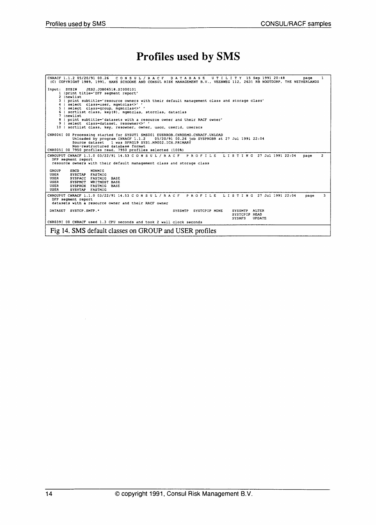# Profiles used by SMS

| CNRACF 1.1.2 05/20/91 00.26 CONSUL/RACF DATABASE UTILITY 15 Sep 1991 20:48<br>1<br>page<br>(C) COPYRIGHT 1989, 1991, HANS SCHOONE AND CONSUL RISK MANAGEMENT B.V., VEENWEG 112, 2631 RB NOOTDORP, THE NETHERLANDS                                                                                                                                                                                                                 |
|-----------------------------------------------------------------------------------------------------------------------------------------------------------------------------------------------------------------------------------------------------------------------------------------------------------------------------------------------------------------------------------------------------------------------------------|
| Input: SYSIN<br>JES2.JOB06518.SI000101<br>1   print title='DFP segment report'<br>2 Inewlist<br>3   print subtitle='resource owners with their default management class and storage class'<br>4   select class-user, mqmtclas<>' '<br>5   select class=qroup, mqmtclas<>' '<br>6   sortlist class, key(8), mgmtclas, storclas, dataclas<br>7 Inewlist<br>8   print subtitle-'datasets with a resource owner and their RACF owner' |
| 9   select class=dataset, resowner<>/ '<br>10   sortlist class, key, resowner, owner, uacc, userid, useracs                                                                                                                                                                                                                                                                                                                       |
| CNR004I 00 Processing started for SYSUT1 SMS001 EUSRROB.CNRDEMO.CNRACF.UNLOAD<br>Unloaded by program CNRACF 1.1.2 05/20/91 00.26 job SYSPROBR at 27 Jul 1991 22:04<br>Source dataset 1 was SPRG19 SYS1.M9002.ICH.PRIMARY<br>Non-restructured database format<br>CNR005I 00 7950 profiles read. 7950 profiles selected (100%)                                                                                                      |
| CNROUPUT CNRACF 1.1.0 03/22/91 14.53 C O N S U L / R A C F P R O F I L E L I S T I N G 27 Jul 1991 22:04<br>$\overline{2}$<br>page<br>DFP segment report<br>resource owners with their default management class and storage class                                                                                                                                                                                                 |
| <b>GROUP</b><br>SBCD<br>NONMIG<br>USER<br>SYSCTAP FASTMIG<br><b>USER</b><br>SYSPACC FASTMIG BASE<br><b>USER</b><br>SYSPMCT WRITMOST BASE<br>USER<br>SYSPROX FASTMIG BASE<br>USER<br>SYSVTAP FASTMIG                                                                                                                                                                                                                               |
| CNROUPUT CNRACF 1.1.0 03/22/91 14.53 CONSUL/RACF PROFILE LISTING 27 Jul 1991 22:04<br>3<br>page<br>DFP seqment report<br>datasets with a resource owner and their RACF owner                                                                                                                                                                                                                                                      |
| DATASET SYSTCP.SMTP. *<br>SYSSMTP ALTER<br>SYSSMTP SYSTCPIP NONE<br>SYSTCPIP READ<br><b>SYSNFS</b><br><b>UPDATE</b><br>CNR039I 00 CNRACF used 1.3 CPU seconds and took 2 wall clock seconds                                                                                                                                                                                                                                       |
| Fig 14. SMS default classes on GROUP and USER profiles                                                                                                                                                                                                                                                                                                                                                                            |
|                                                                                                                                                                                                                                                                                                                                                                                                                                   |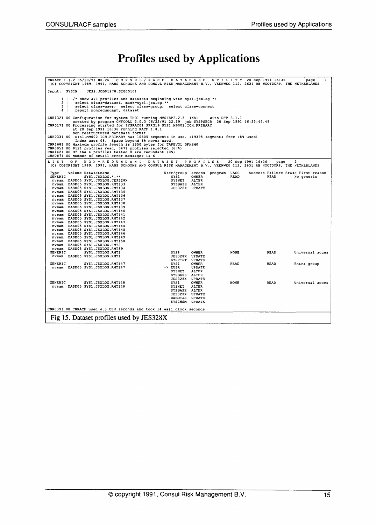#### Profiles used by Applications

.<br>CNRACF 1.1.2 05/20/91 00.26 CONSUL/RACF DATABASE UTILITY 20 Sep 1991 16:36 Page 1<br>(C) COPYRIGHT 1989, 1991, HANS SCHOONE AND CONSUL RISK MANAGEMENT B.V., VEENWEG 112, 2631 RB NOOTDORP, THE NETHERLANDS Input: SYSIN JES2.JOB01278.SIOOOIOl  $\begin{array}{c} 1 \\ 2 \\ 3 \\ 4 \end{array}$ 4 I CNR1321 00 eNR017I 00 CNR0331 00 CNR168I 00 CNR0051 00 CNR1421 00 CNR0871 00 /\* show all profiles and datasets beginning with sysl.jsxlog \*1 select class-dataset, mask-sys1.jsxlog.\*\* select class-user; select class-group; select class-connect report nonredundant, dataset Configuration for system THD1 running MVS/SP2.2.3 (XA)<br>created by program CNFCOLL 2.0.3 06/22/91 22.19 job SYSPSECR 20 Sep 1991 16:35:45.49<br>Processing started for SYSRAC01 SPRG19 SYS1.M9002.ICH.PRIMARY<br>at 20 Sep 1991 16:36 LIST OF NON-RED UNDANT DATASET PROFILES 20 Sep 1991 16:36 page 2<br>(C) COPYRIGHT 1989, 1991, HANS SCHOONE AND CONSUL RISK MANAGEMENT B.V., VEENWEG 112, 2631 RB NOOTDORP, THE NETHERLANDS SYSP OWNER NONE READ universal acces JES328X UPDATE SYSPTST UPDATE SYSl OWNER READ READ Extra group -> EUSR UPDATE SYSNET ALTER SYSBASE ALTER JES328X UPDATE STOR OPDATE<br>SYSNET ALTER<br>SYSBASE ALTER<br>SYSBASE ALTER<br>SYSI OWNER<br>SYSNET ALTER<br>SYSNET ALTER SYS1 OWNER<br>SYSNET ALTER<br>SYSBASE ALTER ALTER<br>SALTER<br>UPDATE<br>UPDATE JES328X UPDATE WWBOTJS UPDATE SYSCHSM UPDATE Type Volume Datasetname GENERIC SYS1.JSXLOG.\*.\*\* nvsam DASD05 SYS1.JSXLOG.JES328X nvsam DASDOS SYS1.JSXLOG.RMT133 nvsam DASD05 SYS1.JSXLOG.RMT134 nvsam DASD05 SYS1.JSXLOG.RMT135 nvsam DASDOS SYS1.JSXLOG.RMT136 nvsam DASD05 SYS1.JSXLOG.RMT137 nvsam DASD05 SYS1.JSXLOG.RMT138 nvsam DASD05 SYS1.JSXLOG.RMT139 nvsam DASDOS SYS1.JSXLOG.RMT140 nvsam DASD05 SYS1.JSXLOG.RHT141 nvsam DASD05 SYSl.JSXLOG.RMT142 nvsam OASD05 SYSl.JSXLOG.RMT143 nvsam DASDOS SYSl.JSXLOG.RMT144 nvsam DASD05 SYS1.JSXLOG.RMT145 nvsam DASD05 SYSl.JSXLOG.RMT146 nvsam DASDOS SYS1.JSXLOG.RMT149 nvsam DASD05 SYS1.JSXLOG.RMT150 nvsam DASDOS SYS1.JSXLOG.RM.T2 nvsam DASD05 SYS1.JSXLOG.RHT89 GENERIC SYSl.JSXLOG.RHT1 nvsam DASDOS SYS1.JSXLOG.RHT1 GENERIC SYSl.JSXLOG.RMT147 nvsam DASDOS SYS1.JSXLOG.RMT147 GENERIC SYS1.JSXLOG.RMT148 nvsarn DASD05 SYSl.JSXLOG.RMT148 User/group SYS1 SYSNET SYSBASE JES328X access OWNER ALTER ALTER UPDATE program UACC READ Success Failure Erase First reason READ No generic CNR0391 00 CNRACF used 4.3 CPU seconds and took 14 wall clock seconds Fig 15. Dataset profiles used by JES328X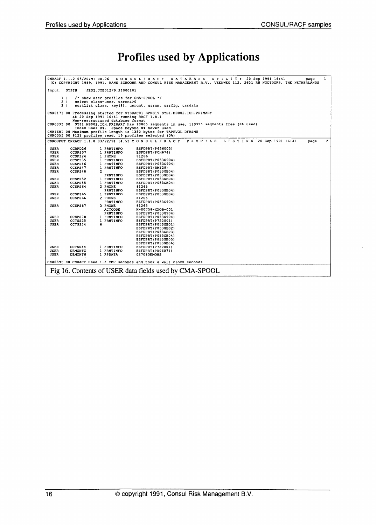# Profiles used by Applications

|                                                                                                                                 | CNRACF 1.1.2 05/20/91 00.26 |                     | CONSUL/RACF DATABASE UTILITY 20 Sep 1991 16:41<br>page<br>(C) COPYRIGHT 1989, 1991, HANS SCHOONE AND CONSUL RISK MANAGEMENT B.V., VEENWEG 112, 2631 RB NOOTDORP, THE NETHERLANDS | 1            |  |  |  |  |  |  |  |  |  |
|---------------------------------------------------------------------------------------------------------------------------------|-----------------------------|---------------------|----------------------------------------------------------------------------------------------------------------------------------------------------------------------------------|--------------|--|--|--|--|--|--|--|--|--|
| JES2.JOB01279.SI000101<br>Input: SYSIN                                                                                          |                             |                     |                                                                                                                                                                                  |              |  |  |  |  |  |  |  |  |  |
|                                                                                                                                 |                             |                     |                                                                                                                                                                                  |              |  |  |  |  |  |  |  |  |  |
| /* show user profiles for CMA-SPOOL */<br>1 <sub>1</sub>                                                                        |                             |                     |                                                                                                                                                                                  |              |  |  |  |  |  |  |  |  |  |
| 2 <sub>1</sub><br>select class-user, usrcnt>0                                                                                   |                             |                     |                                                                                                                                                                                  |              |  |  |  |  |  |  |  |  |  |
| 3 <sub>1</sub><br>sortlist class, key (8), usrcnt, usrnm, usrflq, usrdata                                                       |                             |                     |                                                                                                                                                                                  |              |  |  |  |  |  |  |  |  |  |
|                                                                                                                                 |                             |                     |                                                                                                                                                                                  |              |  |  |  |  |  |  |  |  |  |
| CNR017I 00 Processing started for SYSRAC01 SPRG19 SYS1.M9002.ICH.PRIMARY                                                        |                             |                     |                                                                                                                                                                                  |              |  |  |  |  |  |  |  |  |  |
| at 20 Sep 1991 16:41 running RACF 1.8.1                                                                                         |                             |                     |                                                                                                                                                                                  |              |  |  |  |  |  |  |  |  |  |
| Non-restructured database format<br>CNR033I 00 SYS1.M9002.ICH.PRIMARY has 10805 segments in use, 119395 segments free (8% used) |                             |                     |                                                                                                                                                                                  |              |  |  |  |  |  |  |  |  |  |
| Index uses 0%. Space beyond 8% never used.                                                                                      |                             |                     |                                                                                                                                                                                  |              |  |  |  |  |  |  |  |  |  |
|                                                                                                                                 |                             |                     | CNR168I 00 Maximum profile length is 1350 bytes for TAPEVOL DFHSM0                                                                                                               |              |  |  |  |  |  |  |  |  |  |
|                                                                                                                                 |                             |                     | CNR005I 00 8121 profiles read, 19 profiles selected (0%)                                                                                                                         |              |  |  |  |  |  |  |  |  |  |
|                                                                                                                                 |                             |                     |                                                                                                                                                                                  |              |  |  |  |  |  |  |  |  |  |
|                                                                                                                                 |                             |                     | CNROUPUT CNRACF 1.1.0 03/22/91 14.53 C O N S U L / R A C F<br>PROFILE<br>L I S T I N G 20 Sep 1991 16:41<br>page                                                                 | $\mathbf{2}$ |  |  |  |  |  |  |  |  |  |
| USER                                                                                                                            | CCRPD26                     | 1 PRNTINFO          | ESFDPRT (P656003)                                                                                                                                                                |              |  |  |  |  |  |  |  |  |  |
| USER                                                                                                                            | CCSPS07                     | 1 PRNTINFO          | ESFDPRT (PCH674)                                                                                                                                                                 |              |  |  |  |  |  |  |  |  |  |
| USER                                                                                                                            | CCSPS24                     | 1 PHONE             | 81266                                                                                                                                                                            |              |  |  |  |  |  |  |  |  |  |
| USER                                                                                                                            | CCSPS35                     | 1 PRNTINFO          | ESFDPRT (P053G904)                                                                                                                                                               |              |  |  |  |  |  |  |  |  |  |
| <b>USER</b>                                                                                                                     | CCSPS46                     | 1 PRNTINFO          | ESFDPRT (P053G904)                                                                                                                                                               |              |  |  |  |  |  |  |  |  |  |
| USER                                                                                                                            | CCSPS47                     | 1 PRNTINFO          | ESFDPRT (RMT28)                                                                                                                                                                  |              |  |  |  |  |  |  |  |  |  |
| USER                                                                                                                            | CCSPS48                     | $\mathbf{z}$        | ESFDPRT (P053GB04)                                                                                                                                                               |              |  |  |  |  |  |  |  |  |  |
|                                                                                                                                 |                             | PRNTINFO            | ESFDPRT(P053GB04)                                                                                                                                                                |              |  |  |  |  |  |  |  |  |  |
| USER                                                                                                                            | CCSPS52                     | 1 PRNTINFO          | ESFDPRT(P053GB04)                                                                                                                                                                |              |  |  |  |  |  |  |  |  |  |
| USER                                                                                                                            | CCSPS55                     | 1 PRNTINFO          | ESFDPRT (P053GB04)                                                                                                                                                               |              |  |  |  |  |  |  |  |  |  |
| USER                                                                                                                            | CCSPS64                     | 2 PHONE             | 81265                                                                                                                                                                            |              |  |  |  |  |  |  |  |  |  |
|                                                                                                                                 |                             | PRNTINFO            | ESFDPRT (P053GB04)                                                                                                                                                               |              |  |  |  |  |  |  |  |  |  |
| USER<br><b>USER</b>                                                                                                             | CCSPS65<br>CCSPS66          | 1 PRNTINFO          | ESFDPRT (P053GB04)                                                                                                                                                               |              |  |  |  |  |  |  |  |  |  |
|                                                                                                                                 |                             | 2 PHONE<br>PRNTINFO | 81265                                                                                                                                                                            |              |  |  |  |  |  |  |  |  |  |
| <b>USER</b>                                                                                                                     | CCSPS67                     | 3 PHONE             | ESFDPRT (P053G904)<br>81265                                                                                                                                                      |              |  |  |  |  |  |  |  |  |  |
|                                                                                                                                 |                             | <b>ACTCODE</b>      | K-00758-XXOB-001                                                                                                                                                                 |              |  |  |  |  |  |  |  |  |  |
|                                                                                                                                 |                             | PRNTINFO            | ESFDPRT(P053G904)                                                                                                                                                                |              |  |  |  |  |  |  |  |  |  |
| USER                                                                                                                            | CCSPS78                     | 1 PRNTINFO          | ESFDPRT(P053G904)                                                                                                                                                                |              |  |  |  |  |  |  |  |  |  |
| USER                                                                                                                            | CCTSS25                     | 1 PRNTINFO          | ESFDPRT(P722001)                                                                                                                                                                 |              |  |  |  |  |  |  |  |  |  |
| USER                                                                                                                            | CCTSS34                     | 6                   | ESFDPRT(P053GB01)                                                                                                                                                                |              |  |  |  |  |  |  |  |  |  |
|                                                                                                                                 |                             |                     | ESFDPRT(P053GB02)                                                                                                                                                                |              |  |  |  |  |  |  |  |  |  |
|                                                                                                                                 |                             |                     | ESFDPRT(P053GB03)                                                                                                                                                                |              |  |  |  |  |  |  |  |  |  |
|                                                                                                                                 |                             |                     | ESFDPRT (P053GB04)                                                                                                                                                               |              |  |  |  |  |  |  |  |  |  |
|                                                                                                                                 |                             |                     | ESFDPRT (P053GB05)                                                                                                                                                               |              |  |  |  |  |  |  |  |  |  |
|                                                                                                                                 |                             |                     | ESFDPRT(P053GB06)                                                                                                                                                                |              |  |  |  |  |  |  |  |  |  |
| USER                                                                                                                            | CCTSS44                     | 1 PRNTINFO          | ESFDPRT(P722001)                                                                                                                                                                 |              |  |  |  |  |  |  |  |  |  |
| USER                                                                                                                            | <b>DEMONTC</b>              | 1 PRNTINFO          | ESFDPRT(P506071)                                                                                                                                                                 |              |  |  |  |  |  |  |  |  |  |
| USER                                                                                                                            | DEMONTN                     | 1 PPDATA            | 02708DEMONS                                                                                                                                                                      |              |  |  |  |  |  |  |  |  |  |
|                                                                                                                                 |                             |                     | CNR039I 00 CNRACF used 1.3 CPU seconds and took 4 wall clock seconds                                                                                                             |              |  |  |  |  |  |  |  |  |  |
|                                                                                                                                 |                             |                     |                                                                                                                                                                                  |              |  |  |  |  |  |  |  |  |  |
|                                                                                                                                 |                             |                     | Fig 16. Contents of USER data fields used by CMA-SPOOL                                                                                                                           |              |  |  |  |  |  |  |  |  |  |